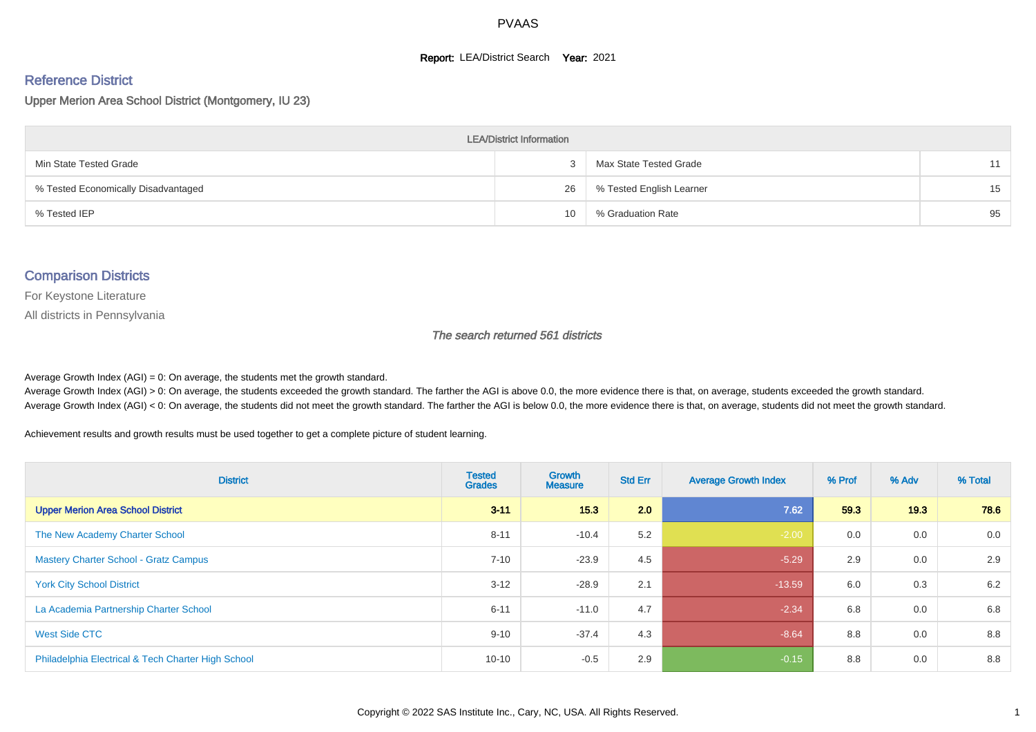#### **Report: LEA/District Search Year: 2021**

# Reference District

Upper Merion Area School District (Montgomery, IU 23)

| <b>LEA/District Information</b>     |    |                          |    |  |  |  |  |  |  |  |
|-------------------------------------|----|--------------------------|----|--|--|--|--|--|--|--|
| Min State Tested Grade              |    | Max State Tested Grade   | 11 |  |  |  |  |  |  |  |
| % Tested Economically Disadvantaged | 26 | % Tested English Learner | 15 |  |  |  |  |  |  |  |
| % Tested IEP                        | 10 | % Graduation Rate        | 95 |  |  |  |  |  |  |  |

#### Comparison Districts

For Keystone Literature

All districts in Pennsylvania

The search returned 561 districts

Average Growth Index  $(AGI) = 0$ : On average, the students met the growth standard.

Average Growth Index (AGI) > 0: On average, the students exceeded the growth standard. The farther the AGI is above 0.0, the more evidence there is that, on average, students exceeded the growth standard. Average Growth Index (AGI) < 0: On average, the students did not meet the growth standard. The farther the AGI is below 0.0, the more evidence there is that, on average, students did not meet the growth standard.

Achievement results and growth results must be used together to get a complete picture of student learning.

| <b>District</b>                                    | <b>Tested</b><br><b>Grades</b> | <b>Growth</b><br><b>Measure</b> | <b>Std Err</b> | <b>Average Growth Index</b> | % Prof | % Adv | % Total |
|----------------------------------------------------|--------------------------------|---------------------------------|----------------|-----------------------------|--------|-------|---------|
| <b>Upper Merion Area School District</b>           | $3 - 11$                       | 15.3                            | 2.0            | 7.62                        | 59.3   | 19.3  | 78.6    |
| The New Academy Charter School                     | $8 - 11$                       | $-10.4$                         | 5.2            | $-2.00$                     | 0.0    | 0.0   | 0.0     |
| <b>Mastery Charter School - Gratz Campus</b>       | $7 - 10$                       | $-23.9$                         | 4.5            | $-5.29$                     | 2.9    | 0.0   | 2.9     |
| <b>York City School District</b>                   | $3 - 12$                       | $-28.9$                         | 2.1            | $-13.59$                    | 6.0    | 0.3   | 6.2     |
| La Academia Partnership Charter School             | $6 - 11$                       | $-11.0$                         | 4.7            | $-2.34$                     | 6.8    | 0.0   | 6.8     |
| West Side CTC                                      | $9 - 10$                       | $-37.4$                         | 4.3            | $-8.64$                     | 8.8    | 0.0   | 8.8     |
| Philadelphia Electrical & Tech Charter High School | $10 - 10$                      | $-0.5$                          | 2.9            | $-0.15$                     | 8.8    | 0.0   | 8.8     |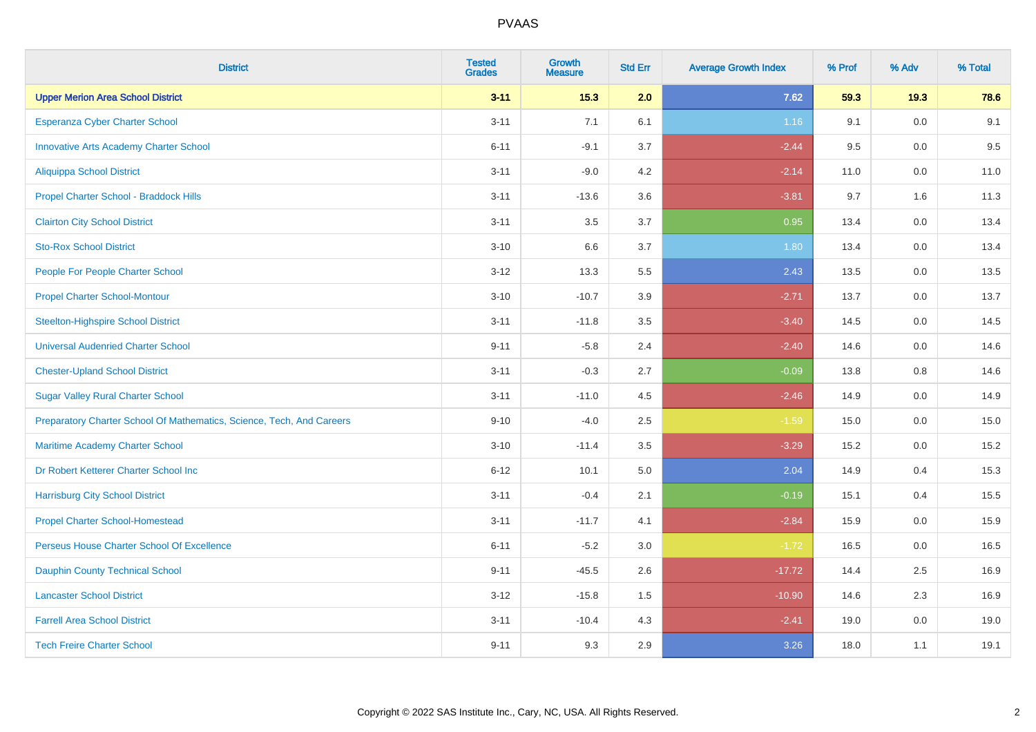| <b>District</b>                                                       | <b>Tested</b><br><b>Grades</b> | <b>Growth</b><br><b>Measure</b> | <b>Std Err</b> | <b>Average Growth Index</b> | % Prof | % Adv   | % Total |
|-----------------------------------------------------------------------|--------------------------------|---------------------------------|----------------|-----------------------------|--------|---------|---------|
| <b>Upper Merion Area School District</b>                              | $3 - 11$                       | $15.3$                          | 2.0            | 7.62                        | 59.3   | 19.3    | 78.6    |
| Esperanza Cyber Charter School                                        | $3 - 11$                       | 7.1                             | 6.1            | 1.16                        | 9.1    | 0.0     | 9.1     |
| <b>Innovative Arts Academy Charter School</b>                         | $6 - 11$                       | $-9.1$                          | 3.7            | $-2.44$                     | 9.5    | 0.0     | 9.5     |
| <b>Aliquippa School District</b>                                      | $3 - 11$                       | $-9.0$                          | 4.2            | $-2.14$                     | 11.0   | $0.0\,$ | 11.0    |
| Propel Charter School - Braddock Hills                                | $3 - 11$                       | $-13.6$                         | 3.6            | $-3.81$                     | 9.7    | 1.6     | 11.3    |
| <b>Clairton City School District</b>                                  | $3 - 11$                       | 3.5                             | 3.7            | 0.95                        | 13.4   | 0.0     | 13.4    |
| <b>Sto-Rox School District</b>                                        | $3 - 10$                       | 6.6                             | 3.7            | 1.80                        | 13.4   | 0.0     | 13.4    |
| People For People Charter School                                      | $3 - 12$                       | 13.3                            | 5.5            | 2.43                        | 13.5   | 0.0     | 13.5    |
| <b>Propel Charter School-Montour</b>                                  | $3 - 10$                       | $-10.7$                         | 3.9            | $-2.71$                     | 13.7   | 0.0     | 13.7    |
| <b>Steelton-Highspire School District</b>                             | $3 - 11$                       | $-11.8$                         | 3.5            | $-3.40$                     | 14.5   | 0.0     | 14.5    |
| <b>Universal Audenried Charter School</b>                             | $9 - 11$                       | $-5.8$                          | 2.4            | $-2.40$                     | 14.6   | 0.0     | 14.6    |
| <b>Chester-Upland School District</b>                                 | $3 - 11$                       | $-0.3$                          | 2.7            | $-0.09$                     | 13.8   | 0.8     | 14.6    |
| <b>Sugar Valley Rural Charter School</b>                              | $3 - 11$                       | $-11.0$                         | 4.5            | $-2.46$                     | 14.9   | 0.0     | 14.9    |
| Preparatory Charter School Of Mathematics, Science, Tech, And Careers | $9 - 10$                       | $-4.0$                          | 2.5            | $-1.59$                     | 15.0   | $0.0\,$ | 15.0    |
| Maritime Academy Charter School                                       | $3 - 10$                       | $-11.4$                         | 3.5            | $-3.29$                     | 15.2   | 0.0     | 15.2    |
| Dr Robert Ketterer Charter School Inc                                 | $6 - 12$                       | 10.1                            | 5.0            | 2.04                        | 14.9   | 0.4     | 15.3    |
| <b>Harrisburg City School District</b>                                | $3 - 11$                       | $-0.4$                          | 2.1            | $-0.19$                     | 15.1   | 0.4     | 15.5    |
| <b>Propel Charter School-Homestead</b>                                | $3 - 11$                       | $-11.7$                         | 4.1            | $-2.84$                     | 15.9   | 0.0     | 15.9    |
| Perseus House Charter School Of Excellence                            | $6 - 11$                       | $-5.2$                          | 3.0            | $-1.72$                     | 16.5   | $0.0\,$ | 16.5    |
| <b>Dauphin County Technical School</b>                                | $9 - 11$                       | $-45.5$                         | 2.6            | $-17.72$                    | 14.4   | 2.5     | 16.9    |
| <b>Lancaster School District</b>                                      | $3 - 12$                       | $-15.8$                         | 1.5            | $-10.90$                    | 14.6   | 2.3     | 16.9    |
| <b>Farrell Area School District</b>                                   | $3 - 11$                       | $-10.4$                         | 4.3            | $-2.41$                     | 19.0   | $0.0\,$ | 19.0    |
| <b>Tech Freire Charter School</b>                                     | $9 - 11$                       | 9.3                             | 2.9            | 3.26                        | 18.0   | 1.1     | 19.1    |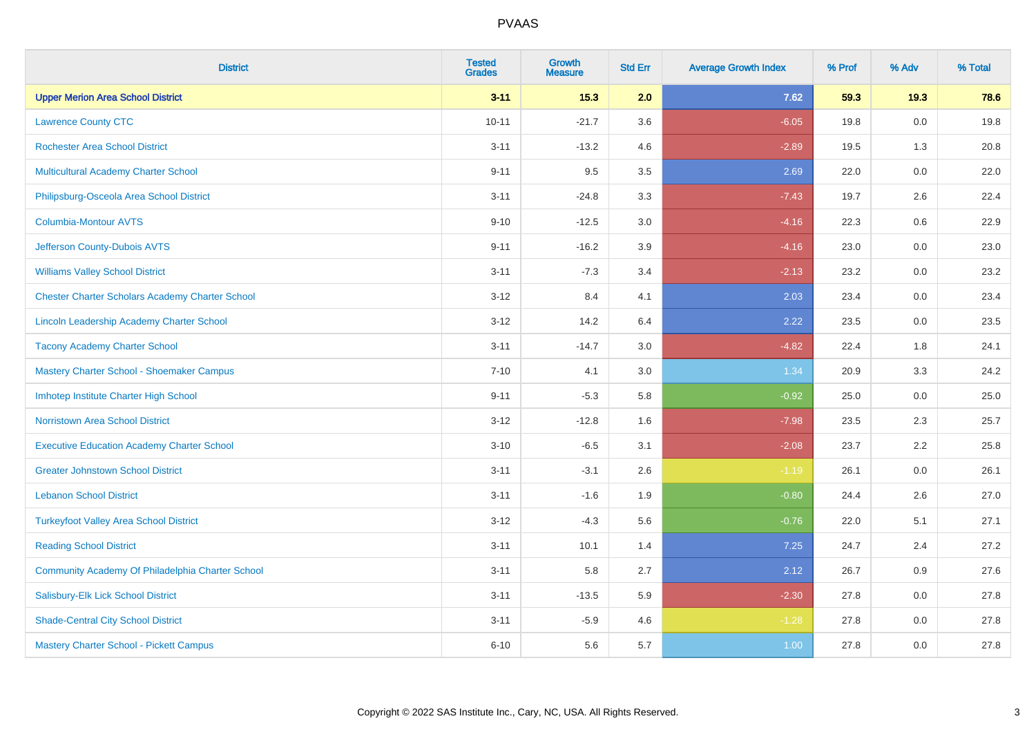| <b>District</b>                                        | <b>Tested</b><br><b>Grades</b> | <b>Growth</b><br><b>Measure</b> | <b>Std Err</b> | <b>Average Growth Index</b> | % Prof | % Adv   | % Total |
|--------------------------------------------------------|--------------------------------|---------------------------------|----------------|-----------------------------|--------|---------|---------|
| <b>Upper Merion Area School District</b>               | $3 - 11$                       | 15.3                            | 2.0            | 7.62                        | 59.3   | 19.3    | 78.6    |
| <b>Lawrence County CTC</b>                             | $10 - 11$                      | $-21.7$                         | 3.6            | $-6.05$                     | 19.8   | 0.0     | 19.8    |
| <b>Rochester Area School District</b>                  | $3 - 11$                       | $-13.2$                         | 4.6            | $-2.89$                     | 19.5   | 1.3     | 20.8    |
| Multicultural Academy Charter School                   | $9 - 11$                       | 9.5                             | 3.5            | 2.69                        | 22.0   | 0.0     | 22.0    |
| Philipsburg-Osceola Area School District               | $3 - 11$                       | $-24.8$                         | 3.3            | $-7.43$                     | 19.7   | 2.6     | 22.4    |
| <b>Columbia-Montour AVTS</b>                           | $9 - 10$                       | $-12.5$                         | 3.0            | $-4.16$                     | 22.3   | 0.6     | 22.9    |
| Jefferson County-Dubois AVTS                           | $9 - 11$                       | $-16.2$                         | 3.9            | $-4.16$                     | 23.0   | 0.0     | 23.0    |
| <b>Williams Valley School District</b>                 | $3 - 11$                       | $-7.3$                          | 3.4            | $-2.13$                     | 23.2   | 0.0     | 23.2    |
| <b>Chester Charter Scholars Academy Charter School</b> | $3 - 12$                       | 8.4                             | 4.1            | 2.03                        | 23.4   | 0.0     | 23.4    |
| <b>Lincoln Leadership Academy Charter School</b>       | $3 - 12$                       | 14.2                            | 6.4            | 2.22                        | 23.5   | 0.0     | 23.5    |
| <b>Tacony Academy Charter School</b>                   | $3 - 11$                       | $-14.7$                         | 3.0            | $-4.82$                     | 22.4   | 1.8     | 24.1    |
| Mastery Charter School - Shoemaker Campus              | $7 - 10$                       | 4.1                             | 3.0            | 1.34                        | 20.9   | 3.3     | 24.2    |
| Imhotep Institute Charter High School                  | $9 - 11$                       | $-5.3$                          | 5.8            | $-0.92$                     | 25.0   | $0.0\,$ | 25.0    |
| <b>Norristown Area School District</b>                 | $3 - 12$                       | $-12.8$                         | 1.6            | $-7.98$                     | 23.5   | 2.3     | 25.7    |
| <b>Executive Education Academy Charter School</b>      | $3 - 10$                       | $-6.5$                          | 3.1            | $-2.08$                     | 23.7   | 2.2     | 25.8    |
| <b>Greater Johnstown School District</b>               | $3 - 11$                       | $-3.1$                          | 2.6            | $-1.19$                     | 26.1   | $0.0\,$ | 26.1    |
| <b>Lebanon School District</b>                         | $3 - 11$                       | $-1.6$                          | 1.9            | $-0.80$                     | 24.4   | 2.6     | 27.0    |
| <b>Turkeyfoot Valley Area School District</b>          | $3 - 12$                       | $-4.3$                          | 5.6            | $-0.76$                     | 22.0   | 5.1     | 27.1    |
| <b>Reading School District</b>                         | $3 - 11$                       | 10.1                            | 1.4            | 7.25                        | 24.7   | 2.4     | 27.2    |
| Community Academy Of Philadelphia Charter School       | $3 - 11$                       | 5.8                             | 2.7            | 2.12                        | 26.7   | 0.9     | 27.6    |
| Salisbury-Elk Lick School District                     | $3 - 11$                       | $-13.5$                         | 5.9            | $-2.30$                     | 27.8   | 0.0     | 27.8    |
| <b>Shade-Central City School District</b>              | $3 - 11$                       | $-5.9$                          | 4.6            | $-1.28$                     | 27.8   | 0.0     | 27.8    |
| <b>Mastery Charter School - Pickett Campus</b>         | $6 - 10$                       | 5.6                             | 5.7            | 1.00                        | 27.8   | 0.0     | 27.8    |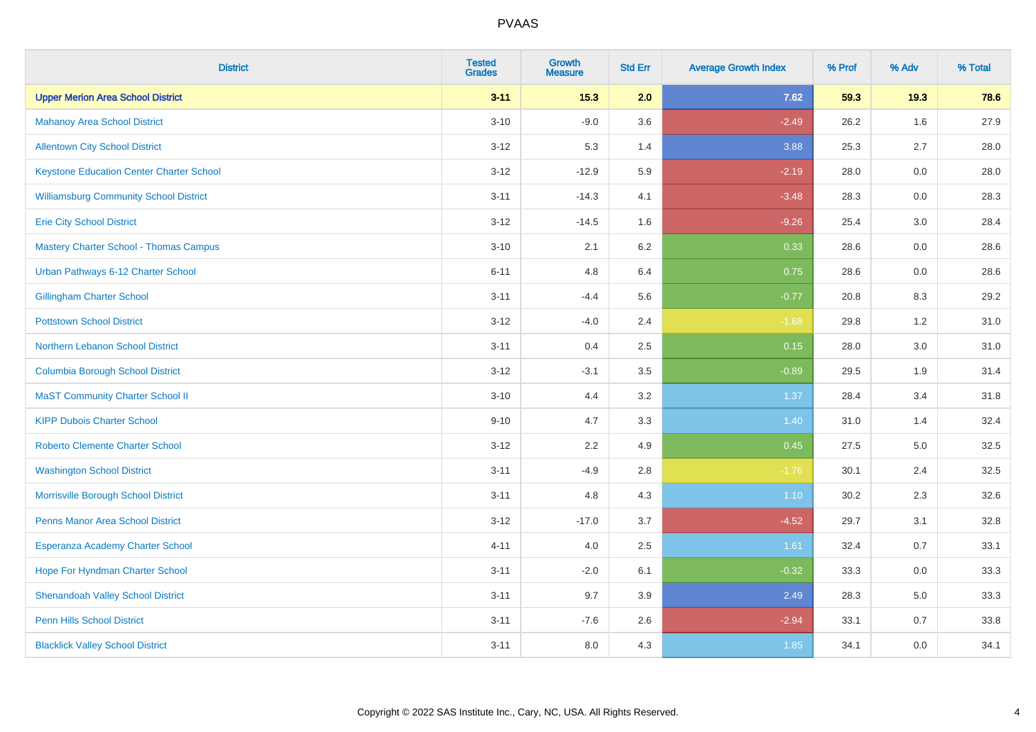| <b>District</b>                                 | <b>Tested</b><br><b>Grades</b> | <b>Growth</b><br><b>Measure</b> | <b>Std Err</b> | <b>Average Growth Index</b> | % Prof | % Adv | % Total |
|-------------------------------------------------|--------------------------------|---------------------------------|----------------|-----------------------------|--------|-------|---------|
| <b>Upper Merion Area School District</b>        | $3 - 11$                       | 15.3                            | 2.0            | 7.62                        | 59.3   | 19.3  | 78.6    |
| <b>Mahanoy Area School District</b>             | $3 - 10$                       | $-9.0$                          | 3.6            | $-2.49$                     | 26.2   | 1.6   | 27.9    |
| <b>Allentown City School District</b>           | $3 - 12$                       | 5.3                             | 1.4            | 3.88                        | 25.3   | 2.7   | 28.0    |
| <b>Keystone Education Center Charter School</b> | $3-12$                         | $-12.9$                         | 5.9            | $-2.19$                     | 28.0   | 0.0   | 28.0    |
| <b>Williamsburg Community School District</b>   | $3 - 11$                       | $-14.3$                         | 4.1            | $-3.48$                     | 28.3   | 0.0   | 28.3    |
| <b>Erie City School District</b>                | $3 - 12$                       | $-14.5$                         | 1.6            | $-9.26$                     | 25.4   | 3.0   | 28.4    |
| <b>Mastery Charter School - Thomas Campus</b>   | $3 - 10$                       | 2.1                             | 6.2            | 0.33                        | 28.6   | 0.0   | 28.6    |
| Urban Pathways 6-12 Charter School              | $6 - 11$                       | 4.8                             | 6.4            | 0.75                        | 28.6   | 0.0   | 28.6    |
| <b>Gillingham Charter School</b>                | $3 - 11$                       | $-4.4$                          | 5.6            | $-0.77$                     | 20.8   | 8.3   | 29.2    |
| <b>Pottstown School District</b>                | $3-12$                         | $-4.0$                          | 2.4            | $-1.68$                     | 29.8   | 1.2   | 31.0    |
| Northern Lebanon School District                | $3 - 11$                       | 0.4                             | 2.5            | 0.15                        | 28.0   | 3.0   | 31.0    |
| <b>Columbia Borough School District</b>         | $3 - 12$                       | $-3.1$                          | 3.5            | $-0.89$                     | 29.5   | 1.9   | 31.4    |
| <b>MaST Community Charter School II</b>         | $3 - 10$                       | 4.4                             | 3.2            | 1.37                        | 28.4   | 3.4   | 31.8    |
| <b>KIPP Dubois Charter School</b>               | $9 - 10$                       | 4.7                             | 3.3            | 1.40                        | 31.0   | 1.4   | 32.4    |
| <b>Roberto Clemente Charter School</b>          | $3 - 12$                       | 2.2                             | 4.9            | 0.45                        | 27.5   | 5.0   | 32.5    |
| <b>Washington School District</b>               | $3 - 11$                       | $-4.9$                          | $2.8\,$        | $-1.76$                     | 30.1   | 2.4   | 32.5    |
| Morrisville Borough School District             | $3 - 11$                       | 4.8                             | 4.3            | 1.10                        | 30.2   | 2.3   | 32.6    |
| Penns Manor Area School District                | $3 - 12$                       | $-17.0$                         | 3.7            | $-4.52$                     | 29.7   | 3.1   | 32.8    |
| Esperanza Academy Charter School                | $4 - 11$                       | 4.0                             | 2.5            | 1.61                        | 32.4   | 0.7   | 33.1    |
| Hope For Hyndman Charter School                 | $3 - 11$                       | $-2.0$                          | 6.1            | $-0.32$                     | 33.3   | 0.0   | 33.3    |
| <b>Shenandoah Valley School District</b>        | $3 - 11$                       | 9.7                             | 3.9            | 2.49                        | 28.3   | 5.0   | 33.3    |
| <b>Penn Hills School District</b>               | $3 - 11$                       | $-7.6$                          | 2.6            | $-2.94$                     | 33.1   | 0.7   | 33.8    |
| <b>Blacklick Valley School District</b>         | $3 - 11$                       | 8.0                             | 4.3            | 1.85                        | 34.1   | 0.0   | 34.1    |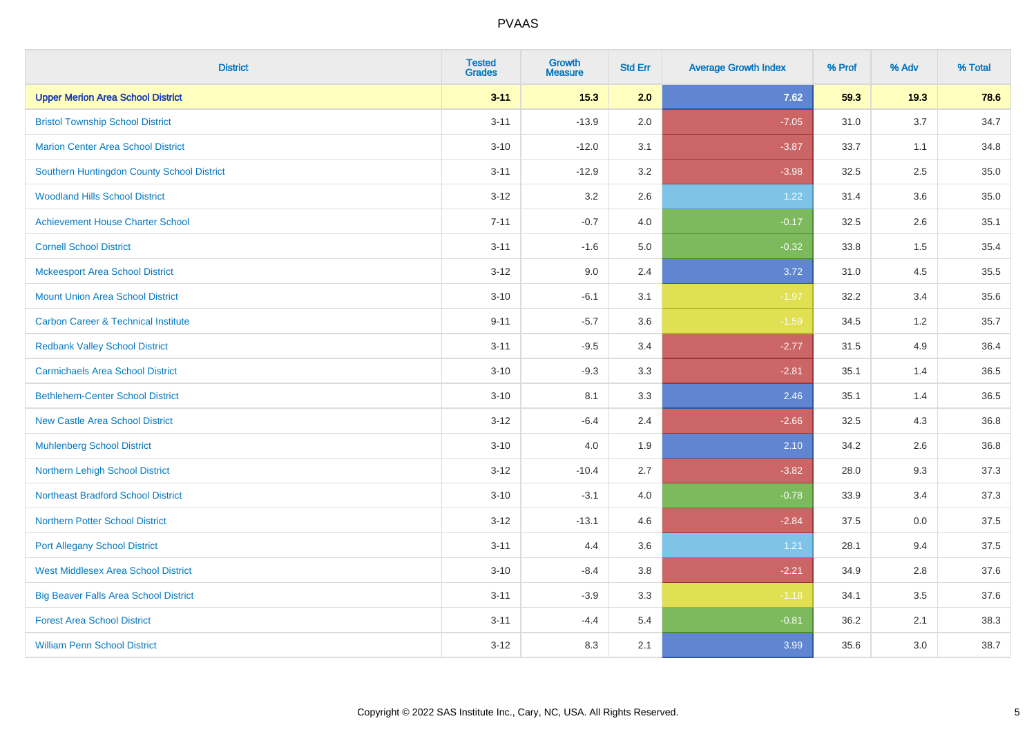| <b>District</b>                                | <b>Tested</b><br><b>Grades</b> | <b>Growth</b><br><b>Measure</b> | <b>Std Err</b> | <b>Average Growth Index</b> | % Prof | % Adv | % Total |
|------------------------------------------------|--------------------------------|---------------------------------|----------------|-----------------------------|--------|-------|---------|
| <b>Upper Merion Area School District</b>       | $3 - 11$                       | $15.3$                          | 2.0            | 7.62                        | 59.3   | 19.3  | 78.6    |
| <b>Bristol Township School District</b>        | $3 - 11$                       | $-13.9$                         | 2.0            | $-7.05$                     | 31.0   | 3.7   | 34.7    |
| <b>Marion Center Area School District</b>      | $3 - 10$                       | $-12.0$                         | 3.1            | $-3.87$                     | 33.7   | 1.1   | 34.8    |
| Southern Huntingdon County School District     | $3 - 11$                       | $-12.9$                         | 3.2            | $-3.98$                     | 32.5   | 2.5   | 35.0    |
| <b>Woodland Hills School District</b>          | $3 - 12$                       | 3.2                             | 2.6            | 1.22                        | 31.4   | 3.6   | 35.0    |
| <b>Achievement House Charter School</b>        | $7 - 11$                       | $-0.7$                          | 4.0            | $-0.17$                     | 32.5   | 2.6   | 35.1    |
| <b>Cornell School District</b>                 | $3 - 11$                       | $-1.6$                          | 5.0            | $-0.32$                     | 33.8   | 1.5   | 35.4    |
| <b>Mckeesport Area School District</b>         | $3 - 12$                       | 9.0                             | 2.4            | 3.72                        | 31.0   | 4.5   | 35.5    |
| <b>Mount Union Area School District</b>        | $3 - 10$                       | $-6.1$                          | 3.1            | $-1.97$                     | 32.2   | 3.4   | 35.6    |
| <b>Carbon Career &amp; Technical Institute</b> | $9 - 11$                       | $-5.7$                          | 3.6            | $-1.59$                     | 34.5   | 1.2   | 35.7    |
| <b>Redbank Valley School District</b>          | $3 - 11$                       | $-9.5$                          | 3.4            | $-2.77$                     | 31.5   | 4.9   | 36.4    |
| <b>Carmichaels Area School District</b>        | $3 - 10$                       | $-9.3$                          | 3.3            | $-2.81$                     | 35.1   | 1.4   | 36.5    |
| <b>Bethlehem-Center School District</b>        | $3 - 10$                       | 8.1                             | 3.3            | 2.46                        | 35.1   | 1.4   | 36.5    |
| <b>New Castle Area School District</b>         | $3 - 12$                       | $-6.4$                          | 2.4            | $-2.66$                     | 32.5   | 4.3   | 36.8    |
| <b>Muhlenberg School District</b>              | $3 - 10$                       | 4.0                             | 1.9            | 2.10                        | 34.2   | 2.6   | 36.8    |
| Northern Lehigh School District                | $3 - 12$                       | $-10.4$                         | 2.7            | $-3.82$                     | 28.0   | 9.3   | 37.3    |
| <b>Northeast Bradford School District</b>      | $3 - 10$                       | $-3.1$                          | 4.0            | $-0.78$                     | 33.9   | 3.4   | 37.3    |
| <b>Northern Potter School District</b>         | $3 - 12$                       | $-13.1$                         | 4.6            | $-2.84$                     | 37.5   | 0.0   | 37.5    |
| <b>Port Allegany School District</b>           | $3 - 11$                       | 4.4                             | 3.6            | 1.21                        | 28.1   | 9.4   | 37.5    |
| <b>West Middlesex Area School District</b>     | $3 - 10$                       | $-8.4$                          | 3.8            | $-2.21$                     | 34.9   | 2.8   | 37.6    |
| <b>Big Beaver Falls Area School District</b>   | $3 - 11$                       | $-3.9$                          | 3.3            | $-1.18$                     | 34.1   | 3.5   | 37.6    |
| <b>Forest Area School District</b>             | $3 - 11$                       | $-4.4$                          | 5.4            | $-0.81$                     | 36.2   | 2.1   | 38.3    |
| <b>William Penn School District</b>            | $3 - 12$                       | 8.3                             | 2.1            | 3.99                        | 35.6   | 3.0   | 38.7    |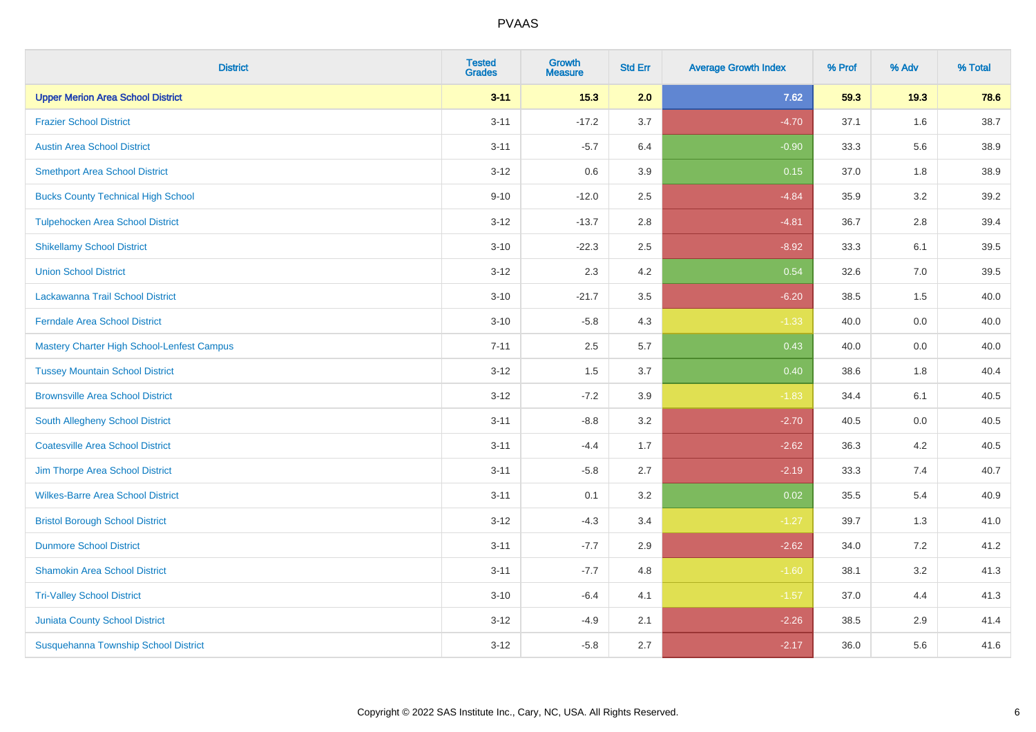| <b>District</b>                             | <b>Tested</b><br><b>Grades</b> | Growth<br><b>Measure</b> | <b>Std Err</b> | <b>Average Growth Index</b> | % Prof | % Adv   | % Total |
|---------------------------------------------|--------------------------------|--------------------------|----------------|-----------------------------|--------|---------|---------|
| <b>Upper Merion Area School District</b>    | $3 - 11$                       | 15.3                     | 2.0            | 7.62                        | 59.3   | 19.3    | 78.6    |
| <b>Frazier School District</b>              | $3 - 11$                       | $-17.2$                  | 3.7            | $-4.70$                     | 37.1   | 1.6     | 38.7    |
| <b>Austin Area School District</b>          | $3 - 11$                       | $-5.7$                   | 6.4            | $-0.90$                     | 33.3   | 5.6     | 38.9    |
| <b>Smethport Area School District</b>       | $3-12$                         | 0.6                      | 3.9            | 0.15                        | 37.0   | $1.8\,$ | 38.9    |
| <b>Bucks County Technical High School</b>   | $9 - 10$                       | $-12.0$                  | 2.5            | $-4.84$                     | 35.9   | 3.2     | 39.2    |
| <b>Tulpehocken Area School District</b>     | $3 - 12$                       | $-13.7$                  | 2.8            | $-4.81$                     | 36.7   | 2.8     | 39.4    |
| <b>Shikellamy School District</b>           | $3 - 10$                       | $-22.3$                  | 2.5            | $-8.92$                     | 33.3   | 6.1     | 39.5    |
| <b>Union School District</b>                | $3 - 12$                       | 2.3                      | 4.2            | 0.54                        | 32.6   | 7.0     | 39.5    |
| Lackawanna Trail School District            | $3 - 10$                       | $-21.7$                  | 3.5            | $-6.20$                     | 38.5   | 1.5     | 40.0    |
| <b>Ferndale Area School District</b>        | $3 - 10$                       | $-5.8$                   | 4.3            | $-1.33$                     | 40.0   | $0.0\,$ | 40.0    |
| Mastery Charter High School-Lenfest Campus  | $7 - 11$                       | 2.5                      | 5.7            | 0.43                        | 40.0   | 0.0     | 40.0    |
| <b>Tussey Mountain School District</b>      | $3 - 12$                       | 1.5                      | 3.7            | 0.40                        | 38.6   | 1.8     | 40.4    |
| <b>Brownsville Area School District</b>     | $3 - 12$                       | $-7.2$                   | 3.9            | $-1.83$                     | 34.4   | 6.1     | 40.5    |
| South Allegheny School District             | $3 - 11$                       | $-8.8$                   | 3.2            | $-2.70$                     | 40.5   | 0.0     | 40.5    |
| <b>Coatesville Area School District</b>     | $3 - 11$                       | $-4.4$                   | 1.7            | $-2.62$                     | 36.3   | 4.2     | 40.5    |
| Jim Thorpe Area School District             | $3 - 11$                       | $-5.8$                   | 2.7            | $-2.19$                     | 33.3   | 7.4     | 40.7    |
| <b>Wilkes-Barre Area School District</b>    | $3 - 11$                       | 0.1                      | 3.2            | 0.02                        | 35.5   | 5.4     | 40.9    |
| <b>Bristol Borough School District</b>      | $3 - 12$                       | $-4.3$                   | 3.4            | $-1.27$                     | 39.7   | 1.3     | 41.0    |
| <b>Dunmore School District</b>              | $3 - 11$                       | $-7.7$                   | 2.9            | $-2.62$                     | 34.0   | 7.2     | 41.2    |
| <b>Shamokin Area School District</b>        | $3 - 11$                       | $-7.7$                   | 4.8            | $-1.60$                     | 38.1   | 3.2     | 41.3    |
| <b>Tri-Valley School District</b>           | $3 - 10$                       | $-6.4$                   | 4.1            | $-1.57$                     | 37.0   | 4.4     | 41.3    |
| <b>Juniata County School District</b>       | $3 - 12$                       | $-4.9$                   | 2.1            | $-2.26$                     | 38.5   | 2.9     | 41.4    |
| <b>Susquehanna Township School District</b> | $3 - 12$                       | $-5.8$                   | 2.7            | $-2.17$                     | 36.0   | 5.6     | 41.6    |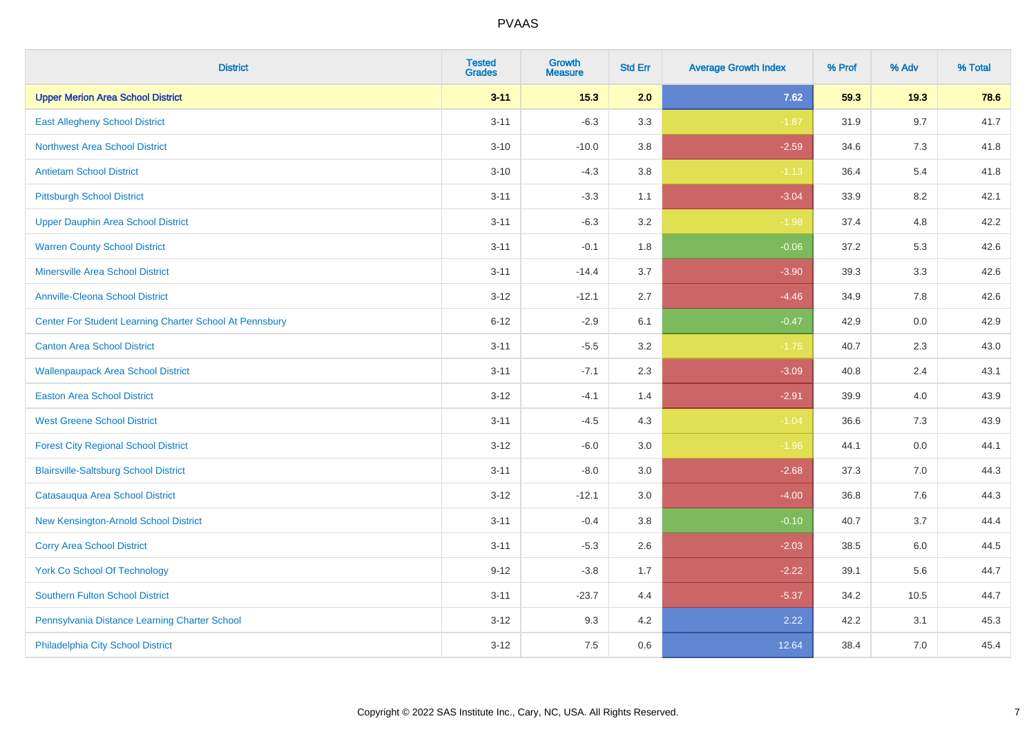| <b>District</b>                                         | <b>Tested</b><br><b>Grades</b> | <b>Growth</b><br><b>Measure</b> | <b>Std Err</b> | <b>Average Growth Index</b> | % Prof | % Adv | % Total |
|---------------------------------------------------------|--------------------------------|---------------------------------|----------------|-----------------------------|--------|-------|---------|
| <b>Upper Merion Area School District</b>                | $3 - 11$                       | 15.3                            | 2.0            | 7.62                        | 59.3   | 19.3  | 78.6    |
| <b>East Allegheny School District</b>                   | $3 - 11$                       | $-6.3$                          | 3.3            | $-1.87$                     | 31.9   | 9.7   | 41.7    |
| <b>Northwest Area School District</b>                   | $3 - 10$                       | $-10.0$                         | 3.8            | $-2.59$                     | 34.6   | 7.3   | 41.8    |
| <b>Antietam School District</b>                         | $3 - 10$                       | $-4.3$                          | 3.8            | $-1.13$                     | 36.4   | 5.4   | 41.8    |
| <b>Pittsburgh School District</b>                       | $3 - 11$                       | $-3.3$                          | 1.1            | $-3.04$                     | 33.9   | 8.2   | 42.1    |
| <b>Upper Dauphin Area School District</b>               | $3 - 11$                       | $-6.3$                          | 3.2            | $-1.98$                     | 37.4   | 4.8   | 42.2    |
| <b>Warren County School District</b>                    | $3 - 11$                       | $-0.1$                          | 1.8            | $-0.06$                     | 37.2   | 5.3   | 42.6    |
| <b>Minersville Area School District</b>                 | $3 - 11$                       | $-14.4$                         | 3.7            | $-3.90$                     | 39.3   | 3.3   | 42.6    |
| <b>Annville-Cleona School District</b>                  | $3 - 12$                       | $-12.1$                         | 2.7            | $-4.46$                     | 34.9   | 7.8   | 42.6    |
| Center For Student Learning Charter School At Pennsbury | $6 - 12$                       | $-2.9$                          | 6.1            | $-0.47$                     | 42.9   | 0.0   | 42.9    |
| <b>Canton Area School District</b>                      | $3 - 11$                       | $-5.5$                          | 3.2            | $-1.75$                     | 40.7   | 2.3   | 43.0    |
| <b>Wallenpaupack Area School District</b>               | $3 - 11$                       | $-7.1$                          | 2.3            | $-3.09$                     | 40.8   | 2.4   | 43.1    |
| <b>Easton Area School District</b>                      | $3 - 12$                       | $-4.1$                          | 1.4            | $-2.91$                     | 39.9   | 4.0   | 43.9    |
| <b>West Greene School District</b>                      | $3 - 11$                       | $-4.5$                          | 4.3            | $-1.04$                     | 36.6   | 7.3   | 43.9    |
| <b>Forest City Regional School District</b>             | $3 - 12$                       | $-6.0$                          | 3.0            | $-1.96$                     | 44.1   | 0.0   | 44.1    |
| <b>Blairsville-Saltsburg School District</b>            | $3 - 11$                       | $-8.0$                          | 3.0            | $-2.68$                     | 37.3   | 7.0   | 44.3    |
| Catasauqua Area School District                         | $3 - 12$                       | $-12.1$                         | 3.0            | $-4.00$                     | 36.8   | 7.6   | 44.3    |
| New Kensington-Arnold School District                   | $3 - 11$                       | $-0.4$                          | 3.8            | $-0.10$                     | 40.7   | 3.7   | 44.4    |
| <b>Corry Area School District</b>                       | $3 - 11$                       | $-5.3$                          | 2.6            | $-2.03$                     | 38.5   | 6.0   | 44.5    |
| <b>York Co School Of Technology</b>                     | $9 - 12$                       | $-3.8$                          | 1.7            | $-2.22$                     | 39.1   | 5.6   | 44.7    |
| <b>Southern Fulton School District</b>                  | $3 - 11$                       | $-23.7$                         | 4.4            | $-5.37$                     | 34.2   | 10.5  | 44.7    |
| Pennsylvania Distance Learning Charter School           | $3 - 12$                       | 9.3                             | 4.2            | 2.22                        | 42.2   | 3.1   | 45.3    |
| Philadelphia City School District                       | $3 - 12$                       | 7.5                             | 0.6            | 12.64                       | 38.4   | 7.0   | 45.4    |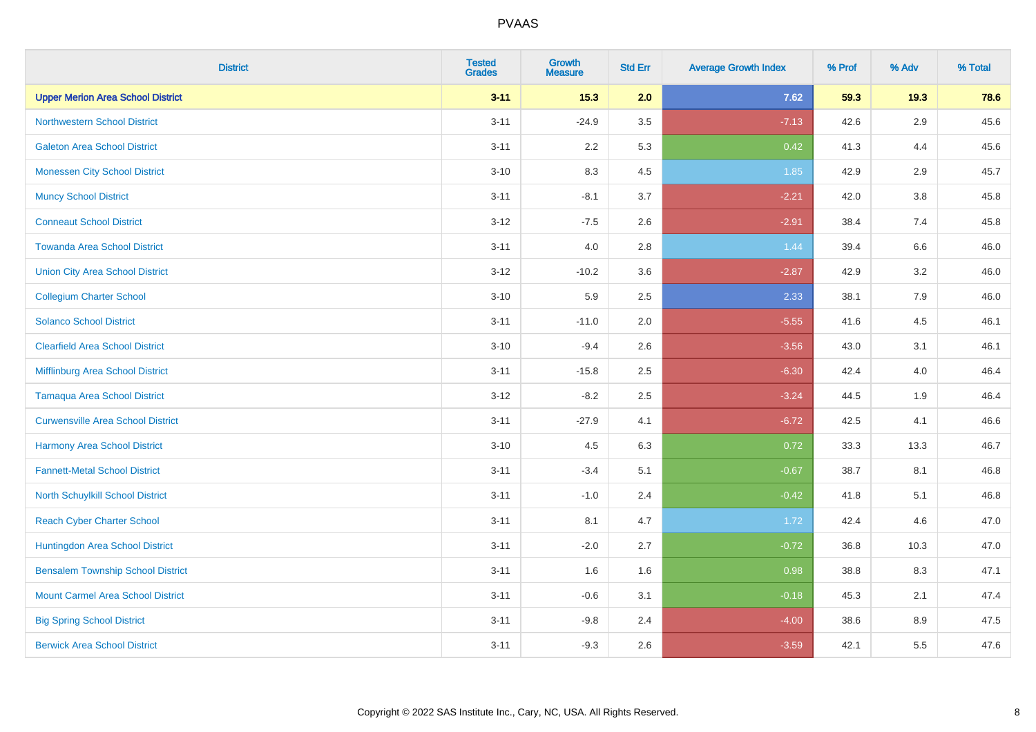| <b>District</b>                          | <b>Tested</b><br><b>Grades</b> | <b>Growth</b><br><b>Measure</b> | <b>Std Err</b> | <b>Average Growth Index</b> | % Prof | % Adv   | % Total |
|------------------------------------------|--------------------------------|---------------------------------|----------------|-----------------------------|--------|---------|---------|
| <b>Upper Merion Area School District</b> | $3 - 11$                       | 15.3                            | 2.0            | 7.62                        | 59.3   | 19.3    | 78.6    |
| <b>Northwestern School District</b>      | $3 - 11$                       | $-24.9$                         | 3.5            | $-7.13$                     | 42.6   | $2.9\,$ | 45.6    |
| <b>Galeton Area School District</b>      | $3 - 11$                       | 2.2                             | 5.3            | 0.42                        | 41.3   | 4.4     | 45.6    |
| <b>Monessen City School District</b>     | $3 - 10$                       | 8.3                             | 4.5            | 1.85                        | 42.9   | 2.9     | 45.7    |
| <b>Muncy School District</b>             | $3 - 11$                       | $-8.1$                          | 3.7            | $-2.21$                     | 42.0   | 3.8     | 45.8    |
| <b>Conneaut School District</b>          | $3 - 12$                       | $-7.5$                          | 2.6            | $-2.91$                     | 38.4   | 7.4     | 45.8    |
| <b>Towanda Area School District</b>      | $3 - 11$                       | 4.0                             | 2.8            | 1.44                        | 39.4   | 6.6     | 46.0    |
| <b>Union City Area School District</b>   | $3 - 12$                       | $-10.2$                         | 3.6            | $-2.87$                     | 42.9   | 3.2     | 46.0    |
| <b>Collegium Charter School</b>          | $3 - 10$                       | 5.9                             | 2.5            | 2.33                        | 38.1   | 7.9     | 46.0    |
| <b>Solanco School District</b>           | $3 - 11$                       | $-11.0$                         | 2.0            | $-5.55$                     | 41.6   | 4.5     | 46.1    |
| <b>Clearfield Area School District</b>   | $3 - 10$                       | $-9.4$                          | 2.6            | $-3.56$                     | 43.0   | 3.1     | 46.1    |
| Mifflinburg Area School District         | $3 - 11$                       | $-15.8$                         | 2.5            | $-6.30$                     | 42.4   | 4.0     | 46.4    |
| <b>Tamaqua Area School District</b>      | $3 - 12$                       | $-8.2$                          | 2.5            | $-3.24$                     | 44.5   | 1.9     | 46.4    |
| <b>Curwensville Area School District</b> | $3 - 11$                       | $-27.9$                         | 4.1            | $-6.72$                     | 42.5   | 4.1     | 46.6    |
| Harmony Area School District             | $3 - 10$                       | 4.5                             | 6.3            | 0.72                        | 33.3   | 13.3    | 46.7    |
| <b>Fannett-Metal School District</b>     | $3 - 11$                       | $-3.4$                          | 5.1            | $-0.67$                     | 38.7   | 8.1     | 46.8    |
| <b>North Schuylkill School District</b>  | $3 - 11$                       | $-1.0$                          | 2.4            | $-0.42$                     | 41.8   | 5.1     | 46.8    |
| <b>Reach Cyber Charter School</b>        | $3 - 11$                       | 8.1                             | 4.7            | 1.72                        | 42.4   | 4.6     | 47.0    |
| Huntingdon Area School District          | $3 - 11$                       | $-2.0$                          | 2.7            | $-0.72$                     | 36.8   | 10.3    | 47.0    |
| <b>Bensalem Township School District</b> | $3 - 11$                       | 1.6                             | 1.6            | 0.98                        | 38.8   | 8.3     | 47.1    |
| <b>Mount Carmel Area School District</b> | $3 - 11$                       | $-0.6$                          | 3.1            | $-0.18$                     | 45.3   | 2.1     | 47.4    |
| <b>Big Spring School District</b>        | $3 - 11$                       | $-9.8$                          | 2.4            | $-4.00$                     | 38.6   | 8.9     | 47.5    |
| <b>Berwick Area School District</b>      | $3 - 11$                       | $-9.3$                          | 2.6            | $-3.59$                     | 42.1   | 5.5     | 47.6    |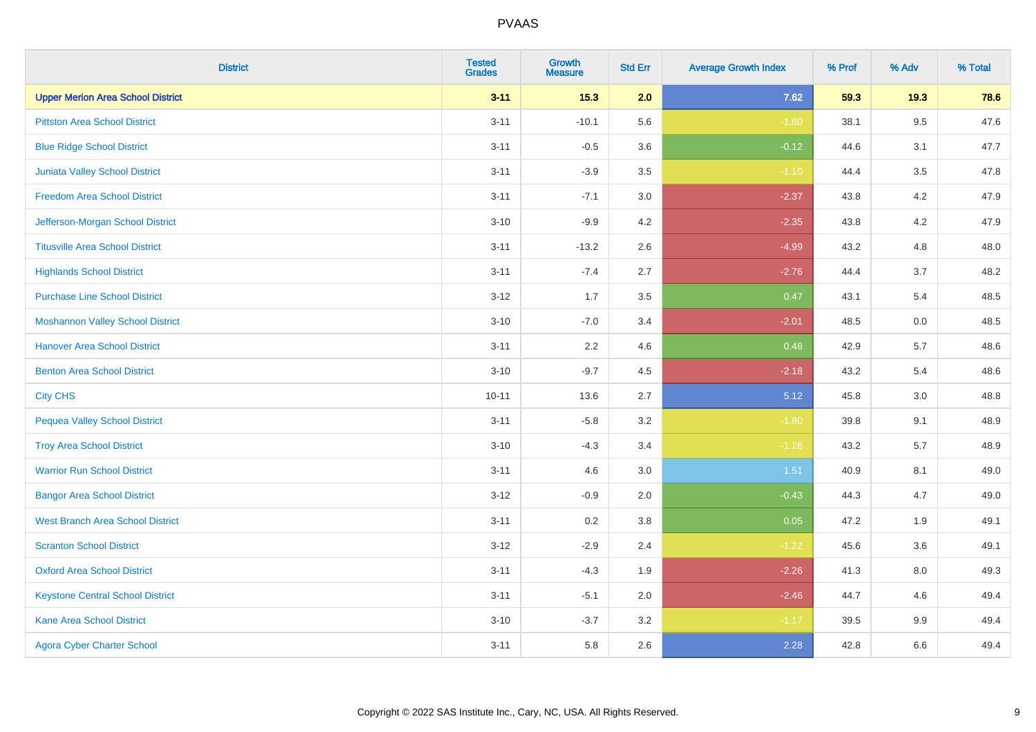| <b>District</b>                          | <b>Tested</b><br><b>Grades</b> | <b>Growth</b><br><b>Measure</b> | <b>Std Err</b> | <b>Average Growth Index</b> | % Prof | % Adv   | % Total |
|------------------------------------------|--------------------------------|---------------------------------|----------------|-----------------------------|--------|---------|---------|
| <b>Upper Merion Area School District</b> | $3 - 11$                       | 15.3                            | 2.0            | 7.62                        | 59.3   | 19.3    | 78.6    |
| <b>Pittston Area School District</b>     | $3 - 11$                       | $-10.1$                         | 5.6            | $-1.80$                     | 38.1   | $9.5\,$ | 47.6    |
| <b>Blue Ridge School District</b>        | $3 - 11$                       | $-0.5$                          | 3.6            | $-0.12$                     | 44.6   | 3.1     | 47.7    |
| Juniata Valley School District           | $3 - 11$                       | $-3.9$                          | 3.5            | $-1.10$                     | 44.4   | 3.5     | 47.8    |
| <b>Freedom Area School District</b>      | $3 - 11$                       | $-7.1$                          | 3.0            | $-2.37$                     | 43.8   | 4.2     | 47.9    |
| Jefferson-Morgan School District         | $3 - 10$                       | $-9.9$                          | 4.2            | $-2.35$                     | 43.8   | 4.2     | 47.9    |
| <b>Titusville Area School District</b>   | $3 - 11$                       | $-13.2$                         | 2.6            | $-4.99$                     | 43.2   | 4.8     | 48.0    |
| <b>Highlands School District</b>         | $3 - 11$                       | $-7.4$                          | 2.7            | $-2.76$                     | 44.4   | 3.7     | 48.2    |
| <b>Purchase Line School District</b>     | $3 - 12$                       | 1.7                             | 3.5            | 0.47                        | 43.1   | 5.4     | 48.5    |
| <b>Moshannon Valley School District</b>  | $3 - 10$                       | $-7.0$                          | 3.4            | $-2.01$                     | 48.5   | 0.0     | 48.5    |
| <b>Hanover Area School District</b>      | $3 - 11$                       | 2.2                             | 4.6            | 0.48                        | 42.9   | 5.7     | 48.6    |
| <b>Benton Area School District</b>       | $3 - 10$                       | $-9.7$                          | 4.5            | $-2.18$                     | 43.2   | 5.4     | 48.6    |
| <b>City CHS</b>                          | $10 - 11$                      | 13.6                            | 2.7            | 5.12                        | 45.8   | $3.0\,$ | 48.8    |
| <b>Pequea Valley School District</b>     | $3 - 11$                       | $-5.8$                          | 3.2            | $-1.80$                     | 39.8   | 9.1     | 48.9    |
| <b>Troy Area School District</b>         | $3 - 10$                       | $-4.3$                          | 3.4            | $-1.26$                     | 43.2   | 5.7     | 48.9    |
| <b>Warrior Run School District</b>       | $3 - 11$                       | 4.6                             | 3.0            | 1.51                        | 40.9   | 8.1     | 49.0    |
| <b>Bangor Area School District</b>       | $3 - 12$                       | $-0.9$                          | 2.0            | $-0.43$                     | 44.3   | 4.7     | 49.0    |
| <b>West Branch Area School District</b>  | $3 - 11$                       | 0.2                             | 3.8            | 0.05                        | 47.2   | 1.9     | 49.1    |
| <b>Scranton School District</b>          | $3 - 12$                       | $-2.9$                          | 2.4            | $-1.22$                     | 45.6   | 3.6     | 49.1    |
| <b>Oxford Area School District</b>       | $3 - 11$                       | $-4.3$                          | 1.9            | $-2.26$                     | 41.3   | 8.0     | 49.3    |
| <b>Keystone Central School District</b>  | $3 - 11$                       | $-5.1$                          | 2.0            | $-2.46$                     | 44.7   | 4.6     | 49.4    |
| Kane Area School District                | $3 - 10$                       | $-3.7$                          | 3.2            | $-1.17$                     | 39.5   | $9.9\,$ | 49.4    |
| <b>Agora Cyber Charter School</b>        | $3 - 11$                       | 5.8                             | 2.6            | 2.28                        | 42.8   | 6.6     | 49.4    |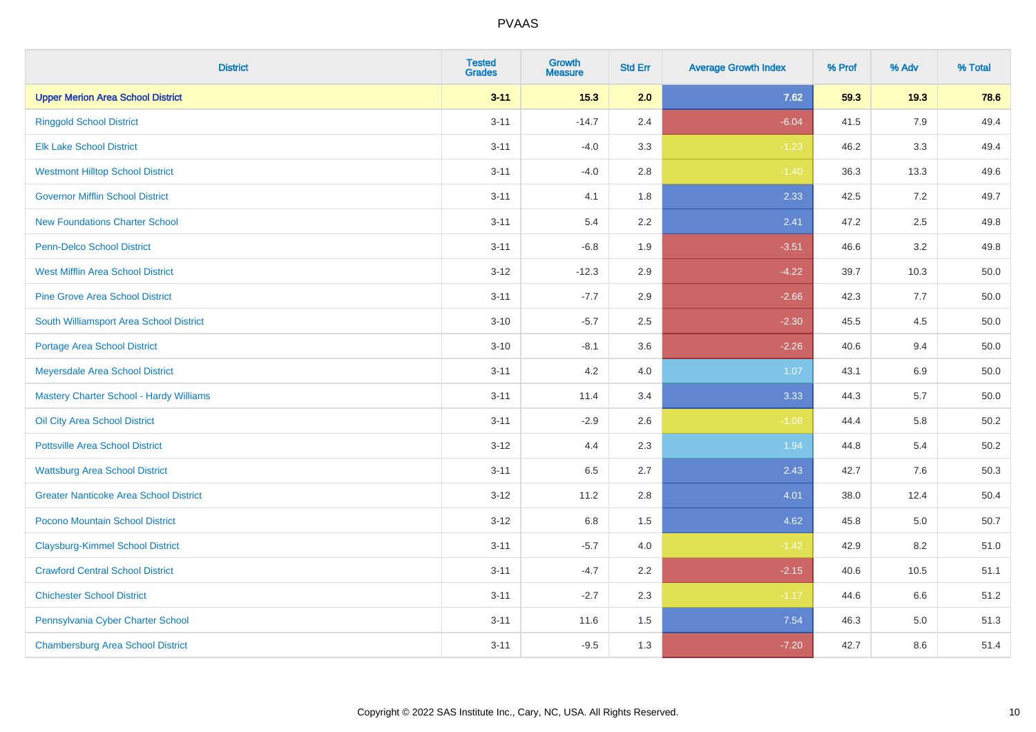| <b>District</b>                               | <b>Tested</b><br><b>Grades</b> | <b>Growth</b><br><b>Measure</b> | <b>Std Err</b> | <b>Average Growth Index</b> | % Prof | % Adv   | % Total  |
|-----------------------------------------------|--------------------------------|---------------------------------|----------------|-----------------------------|--------|---------|----------|
| <b>Upper Merion Area School District</b>      | $3 - 11$                       | 15.3                            | 2.0            | 7.62                        | 59.3   | 19.3    | 78.6     |
| <b>Ringgold School District</b>               | $3 - 11$                       | $-14.7$                         | 2.4            | $-6.04$                     | 41.5   | 7.9     | 49.4     |
| <b>Elk Lake School District</b>               | $3 - 11$                       | $-4.0$                          | 3.3            | $-1.23$                     | 46.2   | 3.3     | 49.4     |
| <b>Westmont Hilltop School District</b>       | $3 - 11$                       | $-4.0$                          | 2.8            | $-1.40$                     | 36.3   | 13.3    | 49.6     |
| <b>Governor Mifflin School District</b>       | $3 - 11$                       | 4.1                             | 1.8            | 2.33                        | 42.5   | $7.2\,$ | 49.7     |
| <b>New Foundations Charter School</b>         | $3 - 11$                       | 5.4                             | 2.2            | 2.41                        | 47.2   | 2.5     | 49.8     |
| Penn-Delco School District                    | $3 - 11$                       | $-6.8$                          | 1.9            | $-3.51$                     | 46.6   | 3.2     | 49.8     |
| <b>West Mifflin Area School District</b>      | $3 - 12$                       | $-12.3$                         | 2.9            | $-4.22$                     | 39.7   | 10.3    | 50.0     |
| <b>Pine Grove Area School District</b>        | $3 - 11$                       | $-7.7$                          | 2.9            | $-2.66$                     | 42.3   | 7.7     | 50.0     |
| South Williamsport Area School District       | $3 - 10$                       | $-5.7$                          | 2.5            | $-2.30$                     | 45.5   | $4.5\,$ | 50.0     |
| Portage Area School District                  | $3 - 10$                       | $-8.1$                          | 3.6            | $-2.26$                     | 40.6   | 9.4     | 50.0     |
| Meyersdale Area School District               | $3 - 11$                       | 4.2                             | 4.0            | 1.07                        | 43.1   | 6.9     | 50.0     |
| Mastery Charter School - Hardy Williams       | $3 - 11$                       | 11.4                            | 3.4            | 3.33                        | 44.3   | 5.7     | 50.0     |
| Oil City Area School District                 | $3 - 11$                       | $-2.9$                          | 2.6            | $-1.08$                     | 44.4   | 5.8     | 50.2     |
| <b>Pottsville Area School District</b>        | $3 - 12$                       | 4.4                             | 2.3            | 1.94                        | 44.8   | 5.4     | $50.2\,$ |
| <b>Wattsburg Area School District</b>         | $3 - 11$                       | 6.5                             | 2.7            | 2.43                        | 42.7   | 7.6     | 50.3     |
| <b>Greater Nanticoke Area School District</b> | $3 - 12$                       | 11.2                            | 2.8            | 4.01                        | 38.0   | 12.4    | 50.4     |
| Pocono Mountain School District               | $3 - 12$                       | 6.8                             | 1.5            | 4.62                        | 45.8   | 5.0     | 50.7     |
| <b>Claysburg-Kimmel School District</b>       | $3 - 11$                       | $-5.7$                          | 4.0            | $-1.42$                     | 42.9   | 8.2     | 51.0     |
| <b>Crawford Central School District</b>       | $3 - 11$                       | $-4.7$                          | 2.2            | $-2.15$                     | 40.6   | 10.5    | 51.1     |
| <b>Chichester School District</b>             | $3 - 11$                       | $-2.7$                          | 2.3            | $-1.17$                     | 44.6   | 6.6     | 51.2     |
| Pennsylvania Cyber Charter School             | $3 - 11$                       | 11.6                            | 1.5            | 7.54                        | 46.3   | 5.0     | 51.3     |
| <b>Chambersburg Area School District</b>      | $3 - 11$                       | $-9.5$                          | 1.3            | $-7.20$                     | 42.7   | 8.6     | 51.4     |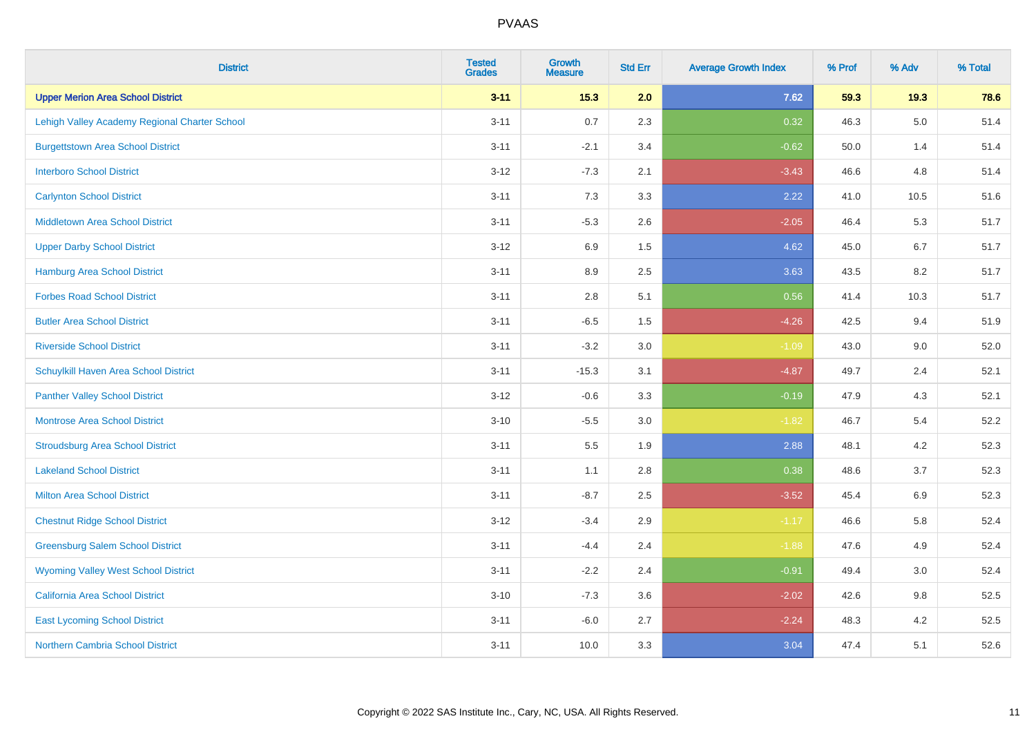| <b>District</b>                               | <b>Tested</b><br><b>Grades</b> | <b>Growth</b><br><b>Measure</b> | <b>Std Err</b> | <b>Average Growth Index</b> | % Prof | % Adv   | % Total |
|-----------------------------------------------|--------------------------------|---------------------------------|----------------|-----------------------------|--------|---------|---------|
| <b>Upper Merion Area School District</b>      | $3 - 11$                       | $15.3$                          | 2.0            | 7.62                        | 59.3   | 19.3    | 78.6    |
| Lehigh Valley Academy Regional Charter School | $3 - 11$                       | 0.7                             | 2.3            | 0.32                        | 46.3   | $5.0\,$ | 51.4    |
| <b>Burgettstown Area School District</b>      | $3 - 11$                       | $-2.1$                          | 3.4            | $-0.62$                     | 50.0   | 1.4     | 51.4    |
| <b>Interboro School District</b>              | $3 - 12$                       | $-7.3$                          | 2.1            | $-3.43$                     | 46.6   | 4.8     | 51.4    |
| <b>Carlynton School District</b>              | $3 - 11$                       | 7.3                             | 3.3            | 2.22                        | 41.0   | 10.5    | 51.6    |
| <b>Middletown Area School District</b>        | $3 - 11$                       | $-5.3$                          | 2.6            | $-2.05$                     | 46.4   | 5.3     | 51.7    |
| <b>Upper Darby School District</b>            | $3 - 12$                       | 6.9                             | 1.5            | 4.62                        | 45.0   | 6.7     | 51.7    |
| <b>Hamburg Area School District</b>           | $3 - 11$                       | 8.9                             | 2.5            | 3.63                        | 43.5   | 8.2     | 51.7    |
| <b>Forbes Road School District</b>            | $3 - 11$                       | 2.8                             | 5.1            | 0.56                        | 41.4   | 10.3    | 51.7    |
| <b>Butler Area School District</b>            | $3 - 11$                       | $-6.5$                          | 1.5            | $-4.26$                     | 42.5   | 9.4     | 51.9    |
| <b>Riverside School District</b>              | $3 - 11$                       | $-3.2$                          | 3.0            | $-1.09$                     | 43.0   | 9.0     | 52.0    |
| Schuylkill Haven Area School District         | $3 - 11$                       | $-15.3$                         | 3.1            | $-4.87$                     | 49.7   | 2.4     | 52.1    |
| <b>Panther Valley School District</b>         | $3 - 12$                       | $-0.6$                          | 3.3            | $-0.19$                     | 47.9   | 4.3     | 52.1    |
| Montrose Area School District                 | $3 - 10$                       | $-5.5$                          | 3.0            | $-1.82$                     | 46.7   | 5.4     | 52.2    |
| <b>Stroudsburg Area School District</b>       | $3 - 11$                       | $5.5\,$                         | 1.9            | 2.88                        | 48.1   | 4.2     | 52.3    |
| <b>Lakeland School District</b>               | $3 - 11$                       | 1.1                             | 2.8            | 0.38                        | 48.6   | 3.7     | 52.3    |
| <b>Milton Area School District</b>            | $3 - 11$                       | $-8.7$                          | 2.5            | $-3.52$                     | 45.4   | 6.9     | 52.3    |
| <b>Chestnut Ridge School District</b>         | $3 - 12$                       | $-3.4$                          | 2.9            | $-1.17$                     | 46.6   | 5.8     | 52.4    |
| <b>Greensburg Salem School District</b>       | $3 - 11$                       | $-4.4$                          | 2.4            | $-1.88$                     | 47.6   | 4.9     | 52.4    |
| <b>Wyoming Valley West School District</b>    | $3 - 11$                       | $-2.2$                          | 2.4            | $-0.91$                     | 49.4   | 3.0     | 52.4    |
| <b>California Area School District</b>        | $3 - 10$                       | $-7.3$                          | 3.6            | $-2.02$                     | 42.6   | 9.8     | 52.5    |
| <b>East Lycoming School District</b>          | $3 - 11$                       | $-6.0$                          | 2.7            | $-2.24$                     | 48.3   | 4.2     | 52.5    |
| <b>Northern Cambria School District</b>       | $3 - 11$                       | 10.0                            | 3.3            | 3.04                        | 47.4   | 5.1     | 52.6    |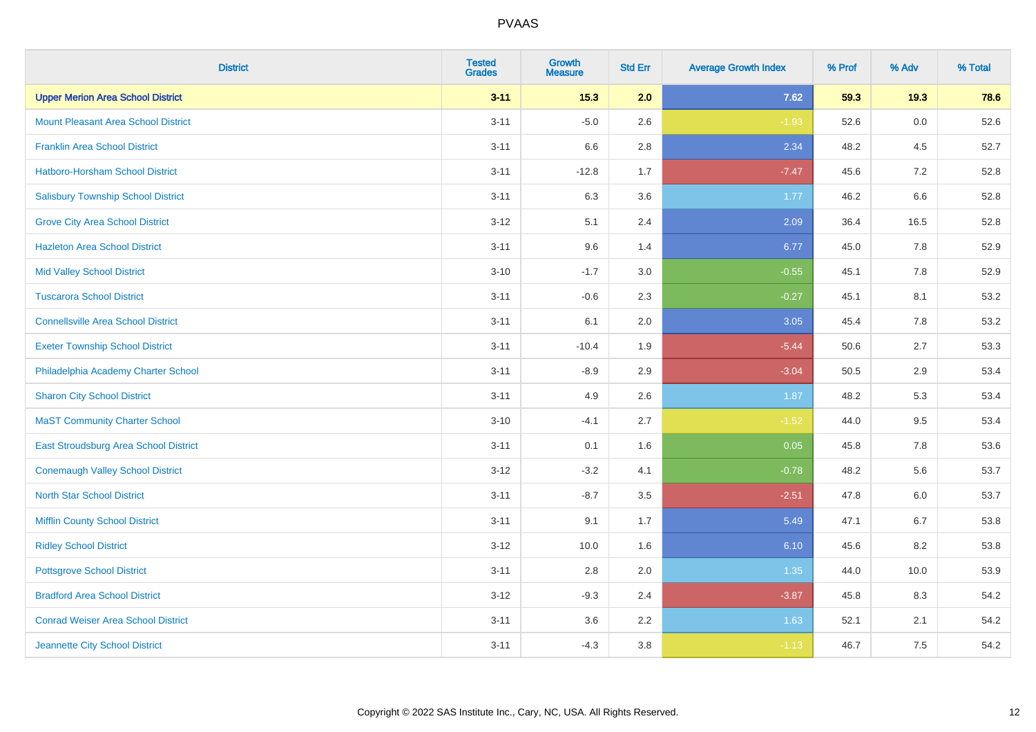| <b>District</b>                            | <b>Tested</b><br><b>Grades</b> | <b>Growth</b><br><b>Measure</b> | <b>Std Err</b> | <b>Average Growth Index</b> | % Prof | % Adv   | % Total |
|--------------------------------------------|--------------------------------|---------------------------------|----------------|-----------------------------|--------|---------|---------|
| <b>Upper Merion Area School District</b>   | $3 - 11$                       | 15.3                            | 2.0            | 7.62                        | 59.3   | 19.3    | 78.6    |
| <b>Mount Pleasant Area School District</b> | $3 - 11$                       | $-5.0$                          | 2.6            | $-1.93$                     | 52.6   | 0.0     | 52.6    |
| <b>Franklin Area School District</b>       | $3 - 11$                       | 6.6                             | 2.8            | 2.34                        | 48.2   | 4.5     | 52.7    |
| Hatboro-Horsham School District            | $3 - 11$                       | $-12.8$                         | 1.7            | $-7.47$                     | 45.6   | $7.2\,$ | 52.8    |
| <b>Salisbury Township School District</b>  | $3 - 11$                       | 6.3                             | 3.6            | 1.77                        | 46.2   | 6.6     | 52.8    |
| <b>Grove City Area School District</b>     | $3 - 12$                       | 5.1                             | 2.4            | 2.09                        | 36.4   | 16.5    | 52.8    |
| <b>Hazleton Area School District</b>       | $3 - 11$                       | 9.6                             | 1.4            | 6.77                        | 45.0   | 7.8     | 52.9    |
| <b>Mid Valley School District</b>          | $3 - 10$                       | $-1.7$                          | 3.0            | $-0.55$                     | 45.1   | 7.8     | 52.9    |
| <b>Tuscarora School District</b>           | $3 - 11$                       | $-0.6$                          | 2.3            | $-0.27$                     | 45.1   | 8.1     | 53.2    |
| <b>Connellsville Area School District</b>  | $3 - 11$                       | 6.1                             | 2.0            | 3.05                        | 45.4   | 7.8     | 53.2    |
| <b>Exeter Township School District</b>     | $3 - 11$                       | $-10.4$                         | 1.9            | $-5.44$                     | 50.6   | 2.7     | 53.3    |
| Philadelphia Academy Charter School        | $3 - 11$                       | $-8.9$                          | 2.9            | $-3.04$                     | 50.5   | 2.9     | 53.4    |
| <b>Sharon City School District</b>         | $3 - 11$                       | 4.9                             | 2.6            | 1.87                        | 48.2   | 5.3     | 53.4    |
| <b>MaST Community Charter School</b>       | $3 - 10$                       | $-4.1$                          | 2.7            | $-1.52$                     | 44.0   | 9.5     | 53.4    |
| East Stroudsburg Area School District      | $3 - 11$                       | 0.1                             | 1.6            | 0.05                        | 45.8   | 7.8     | 53.6    |
| <b>Conemaugh Valley School District</b>    | $3 - 12$                       | $-3.2$                          | 4.1            | $-0.78$                     | 48.2   | 5.6     | 53.7    |
| <b>North Star School District</b>          | $3 - 11$                       | $-8.7$                          | 3.5            | $-2.51$                     | 47.8   | $6.0\,$ | 53.7    |
| <b>Mifflin County School District</b>      | $3 - 11$                       | 9.1                             | 1.7            | 5.49                        | 47.1   | 6.7     | 53.8    |
| <b>Ridley School District</b>              | $3 - 12$                       | 10.0                            | 1.6            | 6.10                        | 45.6   | 8.2     | 53.8    |
| <b>Pottsgrove School District</b>          | $3 - 11$                       | 2.8                             | 2.0            | 1.35                        | 44.0   | 10.0    | 53.9    |
| <b>Bradford Area School District</b>       | $3 - 12$                       | $-9.3$                          | 2.4            | $-3.87$                     | 45.8   | 8.3     | 54.2    |
| <b>Conrad Weiser Area School District</b>  | $3 - 11$                       | 3.6                             | 2.2            | 1.63                        | 52.1   | 2.1     | 54.2    |
| Jeannette City School District             | $3 - 11$                       | $-4.3$                          | $3.8\,$        | $-1.13$                     | 46.7   | 7.5     | 54.2    |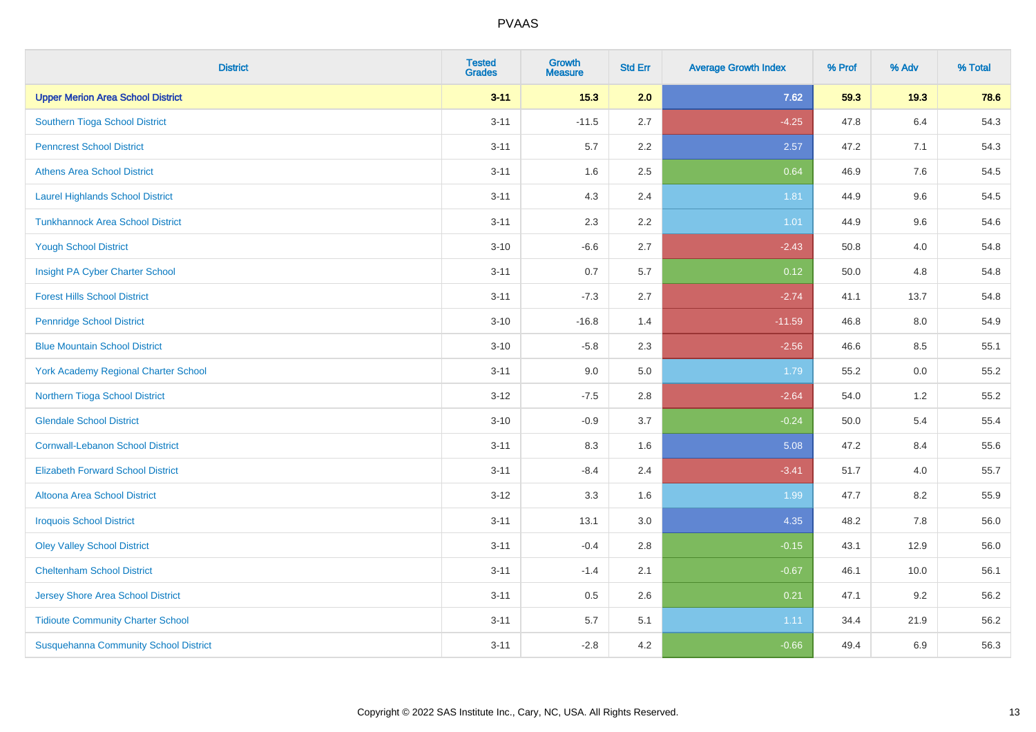| <b>District</b>                              | <b>Tested</b><br><b>Grades</b> | <b>Growth</b><br><b>Measure</b> | <b>Std Err</b> | <b>Average Growth Index</b> | % Prof | % Adv | % Total |
|----------------------------------------------|--------------------------------|---------------------------------|----------------|-----------------------------|--------|-------|---------|
| <b>Upper Merion Area School District</b>     | $3 - 11$                       | 15.3                            | 2.0            | 7.62                        | 59.3   | 19.3  | 78.6    |
| Southern Tioga School District               | $3 - 11$                       | $-11.5$                         | 2.7            | $-4.25$                     | 47.8   | 6.4   | 54.3    |
| <b>Penncrest School District</b>             | $3 - 11$                       | 5.7                             | 2.2            | 2.57                        | 47.2   | 7.1   | 54.3    |
| <b>Athens Area School District</b>           | $3 - 11$                       | 1.6                             | 2.5            | 0.64                        | 46.9   | 7.6   | 54.5    |
| <b>Laurel Highlands School District</b>      | $3 - 11$                       | 4.3                             | 2.4            | 1.81                        | 44.9   | 9.6   | 54.5    |
| <b>Tunkhannock Area School District</b>      | $3 - 11$                       | 2.3                             | 2.2            | $1.01$                      | 44.9   | 9.6   | 54.6    |
| <b>Yough School District</b>                 | $3 - 10$                       | $-6.6$                          | 2.7            | $-2.43$                     | 50.8   | 4.0   | 54.8    |
| Insight PA Cyber Charter School              | $3 - 11$                       | 0.7                             | 5.7            | 0.12                        | 50.0   | 4.8   | 54.8    |
| <b>Forest Hills School District</b>          | $3 - 11$                       | $-7.3$                          | 2.7            | $-2.74$                     | 41.1   | 13.7  | 54.8    |
| <b>Pennridge School District</b>             | $3 - 10$                       | $-16.8$                         | 1.4            | $-11.59$                    | 46.8   | 8.0   | 54.9    |
| <b>Blue Mountain School District</b>         | $3 - 10$                       | $-5.8$                          | 2.3            | $-2.56$                     | 46.6   | 8.5   | 55.1    |
| <b>York Academy Regional Charter School</b>  | $3 - 11$                       | 9.0                             | 5.0            | 1.79                        | 55.2   | 0.0   | 55.2    |
| Northern Tioga School District               | $3 - 12$                       | $-7.5$                          | 2.8            | $-2.64$                     | 54.0   | 1.2   | 55.2    |
| <b>Glendale School District</b>              | $3 - 10$                       | $-0.9$                          | 3.7            | $-0.24$                     | 50.0   | 5.4   | 55.4    |
| <b>Cornwall-Lebanon School District</b>      | $3 - 11$                       | 8.3                             | 1.6            | 5.08                        | 47.2   | 8.4   | 55.6    |
| <b>Elizabeth Forward School District</b>     | $3 - 11$                       | $-8.4$                          | 2.4            | $-3.41$                     | 51.7   | 4.0   | 55.7    |
| <b>Altoona Area School District</b>          | $3 - 12$                       | 3.3                             | 1.6            | 1.99                        | 47.7   | 8.2   | 55.9    |
| <b>Iroquois School District</b>              | $3 - 11$                       | 13.1                            | 3.0            | 4.35                        | 48.2   | 7.8   | 56.0    |
| <b>Oley Valley School District</b>           | $3 - 11$                       | $-0.4$                          | 2.8            | $-0.15$                     | 43.1   | 12.9  | 56.0    |
| <b>Cheltenham School District</b>            | $3 - 11$                       | $-1.4$                          | 2.1            | $-0.67$                     | 46.1   | 10.0  | 56.1    |
| <b>Jersey Shore Area School District</b>     | $3 - 11$                       | 0.5                             | 2.6            | 0.21                        | 47.1   | 9.2   | 56.2    |
| <b>Tidioute Community Charter School</b>     | $3 - 11$                       | 5.7                             | 5.1            | 1.11                        | 34.4   | 21.9  | 56.2    |
| <b>Susquehanna Community School District</b> | $3 - 11$                       | $-2.8$                          | 4.2            | $-0.66$                     | 49.4   | 6.9   | 56.3    |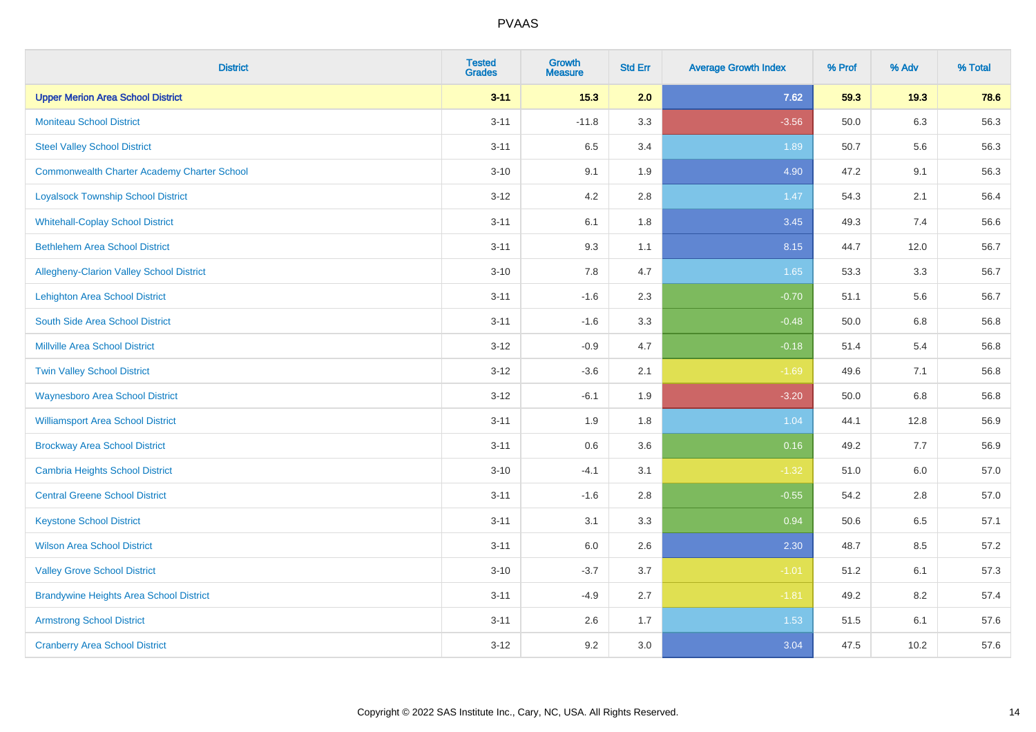| <b>District</b>                                    | <b>Tested</b><br><b>Grades</b> | <b>Growth</b><br><b>Measure</b> | <b>Std Err</b> | <b>Average Growth Index</b> | % Prof | % Adv   | % Total |
|----------------------------------------------------|--------------------------------|---------------------------------|----------------|-----------------------------|--------|---------|---------|
| <b>Upper Merion Area School District</b>           | $3 - 11$                       | 15.3                            | 2.0            | 7.62                        | 59.3   | 19.3    | 78.6    |
| <b>Moniteau School District</b>                    | $3 - 11$                       | $-11.8$                         | 3.3            | $-3.56$                     | 50.0   | 6.3     | 56.3    |
| <b>Steel Valley School District</b>                | $3 - 11$                       | 6.5                             | 3.4            | 1.89                        | 50.7   | 5.6     | 56.3    |
| <b>Commonwealth Charter Academy Charter School</b> | $3 - 10$                       | 9.1                             | 1.9            | 4.90                        | 47.2   | 9.1     | 56.3    |
| <b>Loyalsock Township School District</b>          | $3 - 12$                       | 4.2                             | 2.8            | 1.47                        | 54.3   | 2.1     | 56.4    |
| <b>Whitehall-Coplay School District</b>            | $3 - 11$                       | 6.1                             | 1.8            | 3.45                        | 49.3   | 7.4     | 56.6    |
| <b>Bethlehem Area School District</b>              | $3 - 11$                       | 9.3                             | 1.1            | 8.15                        | 44.7   | 12.0    | 56.7    |
| Allegheny-Clarion Valley School District           | $3 - 10$                       | 7.8                             | 4.7            | 1.65                        | 53.3   | 3.3     | 56.7    |
| <b>Lehighton Area School District</b>              | $3 - 11$                       | $-1.6$                          | 2.3            | $-0.70$                     | 51.1   | 5.6     | 56.7    |
| South Side Area School District                    | $3 - 11$                       | $-1.6$                          | 3.3            | $-0.48$                     | 50.0   | 6.8     | 56.8    |
| Millville Area School District                     | $3 - 12$                       | $-0.9$                          | 4.7            | $-0.18$                     | 51.4   | 5.4     | 56.8    |
| <b>Twin Valley School District</b>                 | $3 - 12$                       | $-3.6$                          | 2.1            | $-1.69$                     | 49.6   | 7.1     | 56.8    |
| <b>Waynesboro Area School District</b>             | $3 - 12$                       | $-6.1$                          | 1.9            | $-3.20$                     | 50.0   | 6.8     | 56.8    |
| <b>Williamsport Area School District</b>           | $3 - 11$                       | 1.9                             | 1.8            | 1.04                        | 44.1   | 12.8    | 56.9    |
| <b>Brockway Area School District</b>               | $3 - 11$                       | 0.6                             | 3.6            | 0.16                        | 49.2   | 7.7     | 56.9    |
| <b>Cambria Heights School District</b>             | $3 - 10$                       | $-4.1$                          | 3.1            | $-1.32$                     | 51.0   | $6.0\,$ | 57.0    |
| <b>Central Greene School District</b>              | $3 - 11$                       | $-1.6$                          | 2.8            | $-0.55$                     | 54.2   | 2.8     | 57.0    |
| <b>Keystone School District</b>                    | $3 - 11$                       | 3.1                             | 3.3            | 0.94                        | 50.6   | 6.5     | 57.1    |
| <b>Wilson Area School District</b>                 | $3 - 11$                       | 6.0                             | 2.6            | 2.30                        | 48.7   | 8.5     | 57.2    |
| <b>Valley Grove School District</b>                | $3 - 10$                       | $-3.7$                          | 3.7            | $-1.01$                     | 51.2   | 6.1     | 57.3    |
| <b>Brandywine Heights Area School District</b>     | $3 - 11$                       | $-4.9$                          | 2.7            | $-1.81$                     | 49.2   | 8.2     | 57.4    |
| <b>Armstrong School District</b>                   | $3 - 11$                       | 2.6                             | 1.7            | 1.53                        | 51.5   | 6.1     | 57.6    |
| <b>Cranberry Area School District</b>              | $3 - 12$                       | 9.2                             | 3.0            | 3.04                        | 47.5   | 10.2    | 57.6    |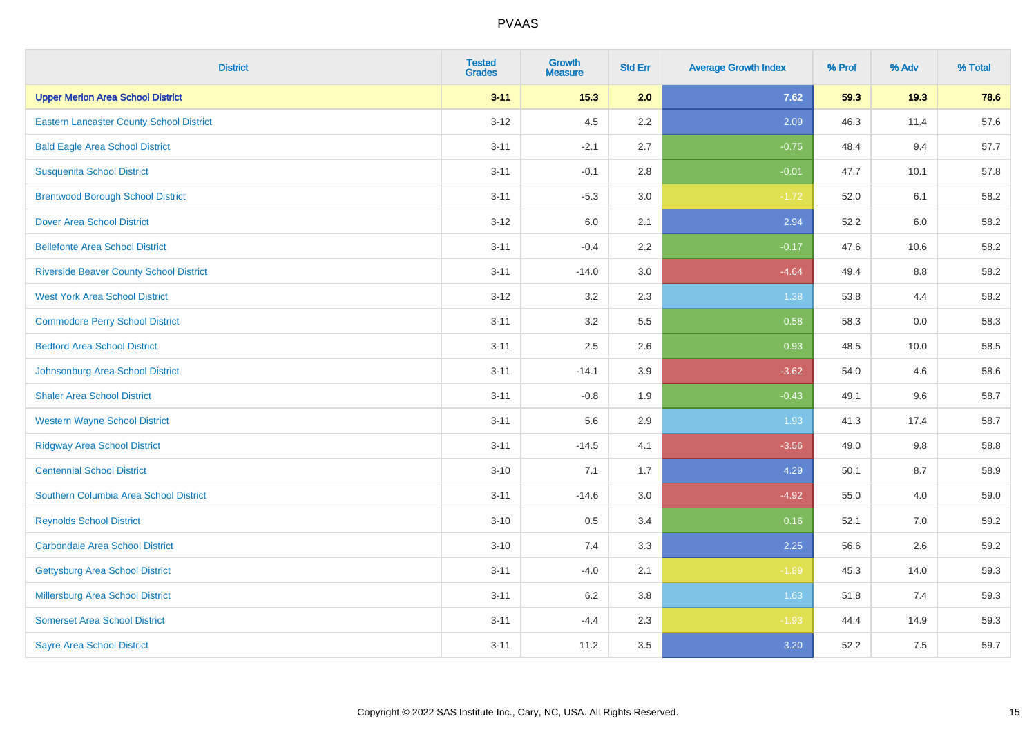| <b>District</b>                                 | <b>Tested</b><br><b>Grades</b> | <b>Growth</b><br><b>Measure</b> | <b>Std Err</b> | <b>Average Growth Index</b> | % Prof | % Adv | % Total |
|-------------------------------------------------|--------------------------------|---------------------------------|----------------|-----------------------------|--------|-------|---------|
| <b>Upper Merion Area School District</b>        | $3 - 11$                       | 15.3                            | 2.0            | 7.62                        | 59.3   | 19.3  | 78.6    |
| <b>Eastern Lancaster County School District</b> | $3 - 12$                       | 4.5                             | 2.2            | 2.09                        | 46.3   | 11.4  | 57.6    |
| <b>Bald Eagle Area School District</b>          | $3 - 11$                       | $-2.1$                          | 2.7            | $-0.75$                     | 48.4   | 9.4   | 57.7    |
| <b>Susquenita School District</b>               | $3 - 11$                       | $-0.1$                          | 2.8            | $-0.01$                     | 47.7   | 10.1  | 57.8    |
| <b>Brentwood Borough School District</b>        | $3 - 11$                       | $-5.3$                          | 3.0            | $-1.72$                     | 52.0   | 6.1   | 58.2    |
| <b>Dover Area School District</b>               | $3 - 12$                       | $6.0\,$                         | 2.1            | 2.94                        | 52.2   | 6.0   | 58.2    |
| <b>Bellefonte Area School District</b>          | $3 - 11$                       | $-0.4$                          | 2.2            | $-0.17$                     | 47.6   | 10.6  | 58.2    |
| <b>Riverside Beaver County School District</b>  | $3 - 11$                       | $-14.0$                         | 3.0            | $-4.64$                     | 49.4   | 8.8   | 58.2    |
| <b>West York Area School District</b>           | $3 - 12$                       | 3.2                             | 2.3            | 1.38                        | 53.8   | 4.4   | 58.2    |
| <b>Commodore Perry School District</b>          | $3 - 11$                       | 3.2                             | 5.5            | 0.58                        | 58.3   | 0.0   | 58.3    |
| <b>Bedford Area School District</b>             | $3 - 11$                       | 2.5                             | 2.6            | 0.93                        | 48.5   | 10.0  | 58.5    |
| Johnsonburg Area School District                | $3 - 11$                       | $-14.1$                         | 3.9            | $-3.62$                     | 54.0   | 4.6   | 58.6    |
| <b>Shaler Area School District</b>              | $3 - 11$                       | $-0.8$                          | 1.9            | $-0.43$                     | 49.1   | 9.6   | 58.7    |
| <b>Western Wayne School District</b>            | $3 - 11$                       | 5.6                             | 2.9            | 1.93                        | 41.3   | 17.4  | 58.7    |
| <b>Ridgway Area School District</b>             | $3 - 11$                       | $-14.5$                         | 4.1            | $-3.56$                     | 49.0   | 9.8   | 58.8    |
| <b>Centennial School District</b>               | $3 - 10$                       | 7.1                             | 1.7            | 4.29                        | 50.1   | 8.7   | 58.9    |
| Southern Columbia Area School District          | $3 - 11$                       | $-14.6$                         | 3.0            | $-4.92$                     | 55.0   | 4.0   | 59.0    |
| <b>Reynolds School District</b>                 | $3 - 10$                       | 0.5                             | 3.4            | 0.16                        | 52.1   | 7.0   | 59.2    |
| <b>Carbondale Area School District</b>          | $3 - 10$                       | 7.4                             | 3.3            | 2.25                        | 56.6   | 2.6   | 59.2    |
| <b>Gettysburg Area School District</b>          | $3 - 11$                       | $-4.0$                          | 2.1            | $-1.89$                     | 45.3   | 14.0  | 59.3    |
| Millersburg Area School District                | $3 - 11$                       | 6.2                             | 3.8            | 1.63                        | 51.8   | 7.4   | 59.3    |
| <b>Somerset Area School District</b>            | $3 - 11$                       | $-4.4$                          | 2.3            | $-1.93$                     | 44.4   | 14.9  | 59.3    |
| <b>Sayre Area School District</b>               | $3 - 11$                       | 11.2                            | 3.5            | 3.20                        | 52.2   | 7.5   | 59.7    |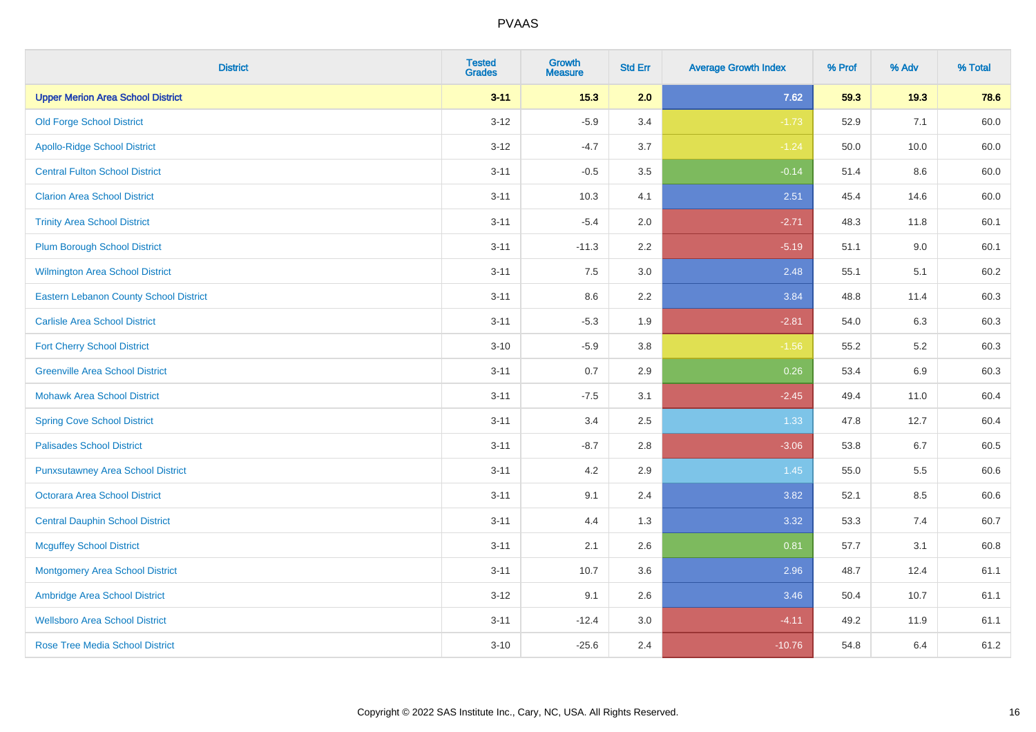| <b>District</b>                          | <b>Tested</b><br><b>Grades</b> | <b>Growth</b><br><b>Measure</b> | <b>Std Err</b> | <b>Average Growth Index</b> | % Prof | % Adv | % Total |
|------------------------------------------|--------------------------------|---------------------------------|----------------|-----------------------------|--------|-------|---------|
| <b>Upper Merion Area School District</b> | $3 - 11$                       | 15.3                            | 2.0            | 7.62                        | 59.3   | 19.3  | 78.6    |
| <b>Old Forge School District</b>         | $3 - 12$                       | $-5.9$                          | 3.4            | $-1.73$                     | 52.9   | 7.1   | 60.0    |
| <b>Apollo-Ridge School District</b>      | $3 - 12$                       | $-4.7$                          | 3.7            | $-1.24$                     | 50.0   | 10.0  | 60.0    |
| <b>Central Fulton School District</b>    | $3 - 11$                       | $-0.5$                          | 3.5            | $-0.14$                     | 51.4   | 8.6   | 60.0    |
| <b>Clarion Area School District</b>      | $3 - 11$                       | 10.3                            | 4.1            | 2.51                        | 45.4   | 14.6  | 60.0    |
| <b>Trinity Area School District</b>      | $3 - 11$                       | $-5.4$                          | 2.0            | $-2.71$                     | 48.3   | 11.8  | 60.1    |
| <b>Plum Borough School District</b>      | $3 - 11$                       | $-11.3$                         | 2.2            | $-5.19$                     | 51.1   | 9.0   | 60.1    |
| Wilmington Area School District          | $3 - 11$                       | 7.5                             | $3.0\,$        | 2.48                        | 55.1   | 5.1   | 60.2    |
| Eastern Lebanon County School District   | $3 - 11$                       | 8.6                             | 2.2            | 3.84                        | 48.8   | 11.4  | 60.3    |
| <b>Carlisle Area School District</b>     | $3 - 11$                       | $-5.3$                          | 1.9            | $-2.81$                     | 54.0   | 6.3   | 60.3    |
| <b>Fort Cherry School District</b>       | $3 - 10$                       | $-5.9$                          | 3.8            | $-1.56$                     | 55.2   | 5.2   | 60.3    |
| <b>Greenville Area School District</b>   | $3 - 11$                       | 0.7                             | 2.9            | 0.26                        | 53.4   | 6.9   | 60.3    |
| <b>Mohawk Area School District</b>       | $3 - 11$                       | $-7.5$                          | 3.1            | $-2.45$                     | 49.4   | 11.0  | 60.4    |
| <b>Spring Cove School District</b>       | $3 - 11$                       | 3.4                             | 2.5            | 1.33                        | 47.8   | 12.7  | 60.4    |
| <b>Palisades School District</b>         | $3 - 11$                       | $-8.7$                          | 2.8            | $-3.06$                     | 53.8   | 6.7   | 60.5    |
| <b>Punxsutawney Area School District</b> | $3 - 11$                       | 4.2                             | 2.9            | 1.45                        | 55.0   | 5.5   | 60.6    |
| <b>Octorara Area School District</b>     | $3 - 11$                       | 9.1                             | 2.4            | 3.82                        | 52.1   | 8.5   | 60.6    |
| <b>Central Dauphin School District</b>   | $3 - 11$                       | 4.4                             | 1.3            | 3.32                        | 53.3   | 7.4   | 60.7    |
| <b>Mcguffey School District</b>          | $3 - 11$                       | 2.1                             | 2.6            | 0.81                        | 57.7   | 3.1   | 60.8    |
| <b>Montgomery Area School District</b>   | $3 - 11$                       | 10.7                            | 3.6            | 2.96                        | 48.7   | 12.4  | 61.1    |
| Ambridge Area School District            | $3-12$                         | 9.1                             | 2.6            | 3.46                        | 50.4   | 10.7  | 61.1    |
| <b>Wellsboro Area School District</b>    | $3 - 11$                       | $-12.4$                         | 3.0            | $-4.11$                     | 49.2   | 11.9  | 61.1    |
| <b>Rose Tree Media School District</b>   | $3 - 10$                       | $-25.6$                         | 2.4            | $-10.76$                    | 54.8   | 6.4   | 61.2    |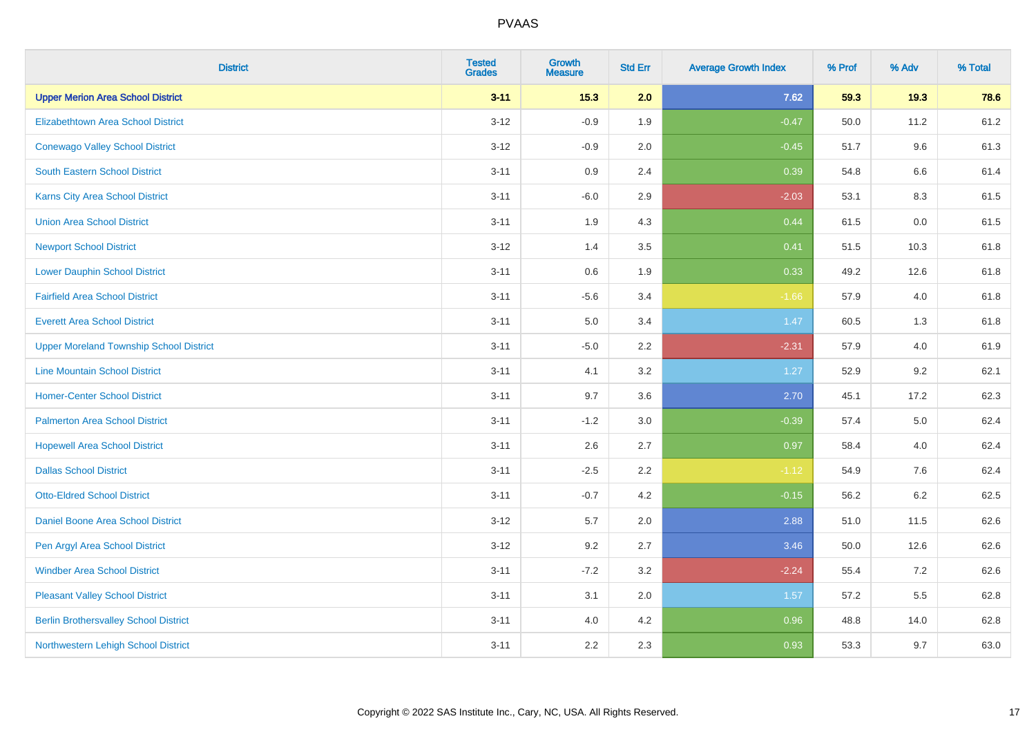| <b>District</b>                                | <b>Tested</b><br><b>Grades</b> | <b>Growth</b><br><b>Measure</b> | <b>Std Err</b> | <b>Average Growth Index</b> | % Prof | % Adv   | % Total |
|------------------------------------------------|--------------------------------|---------------------------------|----------------|-----------------------------|--------|---------|---------|
| <b>Upper Merion Area School District</b>       | $3 - 11$                       | 15.3                            | 2.0            | 7.62                        | 59.3   | 19.3    | 78.6    |
| <b>Elizabethtown Area School District</b>      | $3 - 12$                       | $-0.9$                          | 1.9            | $-0.47$                     | 50.0   | 11.2    | 61.2    |
| <b>Conewago Valley School District</b>         | $3 - 12$                       | $-0.9$                          | 2.0            | $-0.45$                     | 51.7   | 9.6     | 61.3    |
| South Eastern School District                  | $3 - 11$                       | $0.9\,$                         | 2.4            | 0.39                        | 54.8   | 6.6     | 61.4    |
| <b>Karns City Area School District</b>         | $3 - 11$                       | $-6.0$                          | 2.9            | $-2.03$                     | 53.1   | 8.3     | 61.5    |
| <b>Union Area School District</b>              | $3 - 11$                       | 1.9                             | 4.3            | 0.44                        | 61.5   | 0.0     | 61.5    |
| <b>Newport School District</b>                 | $3 - 12$                       | 1.4                             | 3.5            | 0.41                        | 51.5   | 10.3    | 61.8    |
| <b>Lower Dauphin School District</b>           | $3 - 11$                       | 0.6                             | 1.9            | 0.33                        | 49.2   | 12.6    | 61.8    |
| <b>Fairfield Area School District</b>          | $3 - 11$                       | $-5.6$                          | 3.4            | $-1.66$                     | 57.9   | 4.0     | 61.8    |
| <b>Everett Area School District</b>            | $3 - 11$                       | 5.0                             | 3.4            | 1.47                        | 60.5   | 1.3     | 61.8    |
| <b>Upper Moreland Township School District</b> | $3 - 11$                       | $-5.0$                          | 2.2            | $-2.31$                     | 57.9   | 4.0     | 61.9    |
| <b>Line Mountain School District</b>           | $3 - 11$                       | 4.1                             | 3.2            | 1.27                        | 52.9   | 9.2     | 62.1    |
| <b>Homer-Center School District</b>            | $3 - 11$                       | 9.7                             | 3.6            | 2.70                        | 45.1   | 17.2    | 62.3    |
| <b>Palmerton Area School District</b>          | $3 - 11$                       | $-1.2$                          | 3.0            | $-0.39$                     | 57.4   | 5.0     | 62.4    |
| <b>Hopewell Area School District</b>           | $3 - 11$                       | 2.6                             | 2.7            | 0.97                        | 58.4   | 4.0     | 62.4    |
| <b>Dallas School District</b>                  | $3 - 11$                       | $-2.5$                          | 2.2            | $-1.12$                     | 54.9   | 7.6     | 62.4    |
| <b>Otto-Eldred School District</b>             | $3 - 11$                       | $-0.7$                          | 4.2            | $-0.15$                     | 56.2   | $6.2\,$ | 62.5    |
| Daniel Boone Area School District              | $3 - 12$                       | 5.7                             | 2.0            | 2.88                        | 51.0   | 11.5    | 62.6    |
| Pen Argyl Area School District                 | $3 - 12$                       | 9.2                             | 2.7            | 3.46                        | 50.0   | 12.6    | 62.6    |
| <b>Windber Area School District</b>            | $3 - 11$                       | $-7.2$                          | 3.2            | $-2.24$                     | 55.4   | 7.2     | 62.6    |
| <b>Pleasant Valley School District</b>         | $3 - 11$                       | 3.1                             | 2.0            | 1.57                        | 57.2   | 5.5     | 62.8    |
| <b>Berlin Brothersvalley School District</b>   | $3 - 11$                       | 4.0                             | 4.2            | 0.96                        | 48.8   | 14.0    | 62.8    |
| Northwestern Lehigh School District            | $3 - 11$                       | 2.2                             | 2.3            | 0.93                        | 53.3   | 9.7     | 63.0    |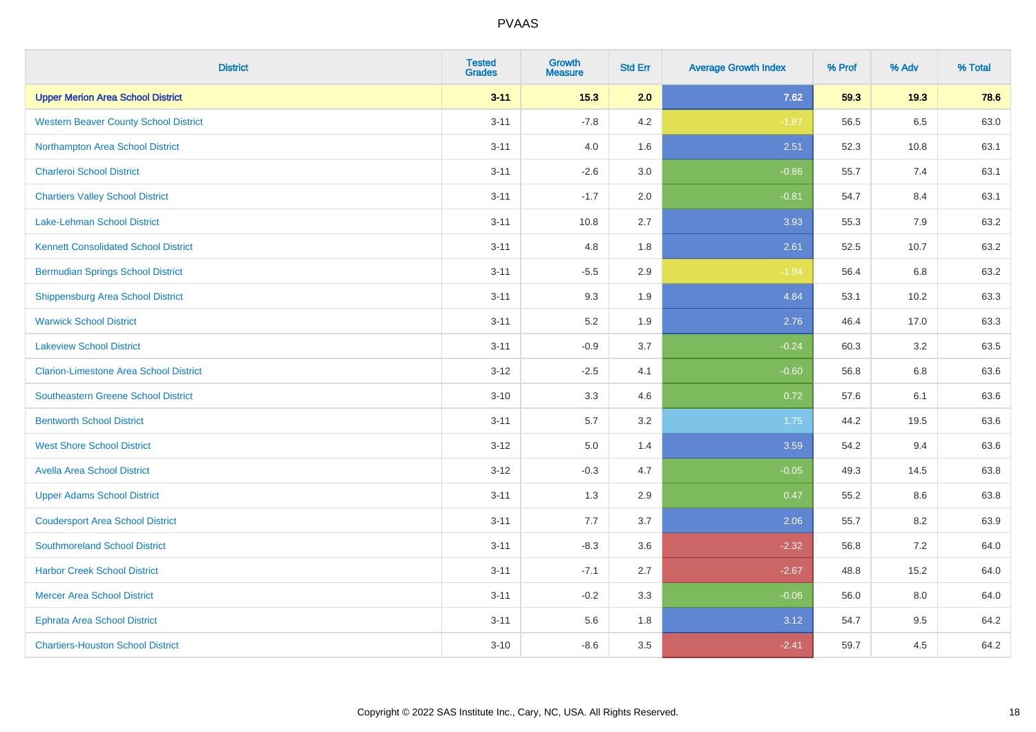| <b>District</b>                               | <b>Tested</b><br><b>Grades</b> | <b>Growth</b><br><b>Measure</b> | <b>Std Err</b> | <b>Average Growth Index</b> | % Prof | % Adv   | % Total |
|-----------------------------------------------|--------------------------------|---------------------------------|----------------|-----------------------------|--------|---------|---------|
| <b>Upper Merion Area School District</b>      | $3 - 11$                       | 15.3                            | 2.0            | 7.62                        | 59.3   | 19.3    | 78.6    |
| <b>Western Beaver County School District</b>  | $3 - 11$                       | $-7.8$                          | 4.2            | $-1.87$                     | 56.5   | $6.5\,$ | 63.0    |
| Northampton Area School District              | $3 - 11$                       | 4.0                             | 1.6            | 2.51                        | 52.3   | 10.8    | 63.1    |
| <b>Charleroi School District</b>              | $3 - 11$                       | $-2.6$                          | 3.0            | $-0.86$                     | 55.7   | 7.4     | 63.1    |
| <b>Chartiers Valley School District</b>       | $3 - 11$                       | $-1.7$                          | 2.0            | $-0.81$                     | 54.7   | 8.4     | 63.1    |
| <b>Lake-Lehman School District</b>            | $3 - 11$                       | 10.8                            | 2.7            | 3.93                        | 55.3   | 7.9     | 63.2    |
| <b>Kennett Consolidated School District</b>   | $3 - 11$                       | 4.8                             | 1.8            | 2.61                        | 52.5   | 10.7    | 63.2    |
| <b>Bermudian Springs School District</b>      | $3 - 11$                       | $-5.5$                          | 2.9            | $-1.94$                     | 56.4   | 6.8     | 63.2    |
| <b>Shippensburg Area School District</b>      | $3 - 11$                       | 9.3                             | 1.9            | 4.84                        | 53.1   | 10.2    | 63.3    |
| <b>Warwick School District</b>                | $3 - 11$                       | 5.2                             | 1.9            | 2.76                        | 46.4   | 17.0    | 63.3    |
| <b>Lakeview School District</b>               | $3 - 11$                       | $-0.9$                          | 3.7            | $-0.24$                     | 60.3   | 3.2     | 63.5    |
| <b>Clarion-Limestone Area School District</b> | $3 - 12$                       | $-2.5$                          | 4.1            | $-0.60$                     | 56.8   | 6.8     | 63.6    |
| Southeastern Greene School District           | $3 - 10$                       | 3.3                             | 4.6            | 0.72                        | 57.6   | 6.1     | 63.6    |
| <b>Bentworth School District</b>              | $3 - 11$                       | 5.7                             | 3.2            | 1.75                        | 44.2   | 19.5    | 63.6    |
| <b>West Shore School District</b>             | $3 - 12$                       | 5.0                             | 1.4            | 3.59                        | 54.2   | 9.4     | 63.6    |
| <b>Avella Area School District</b>            | $3 - 12$                       | $-0.3$                          | 4.7            | $-0.05$                     | 49.3   | 14.5    | 63.8    |
| <b>Upper Adams School District</b>            | $3 - 11$                       | 1.3                             | 2.9            | 0.47                        | 55.2   | 8.6     | 63.8    |
| <b>Coudersport Area School District</b>       | $3 - 11$                       | 7.7                             | 3.7            | 2.06                        | 55.7   | 8.2     | 63.9    |
| <b>Southmoreland School District</b>          | $3 - 11$                       | $-8.3$                          | 3.6            | $-2.32$                     | 56.8   | 7.2     | 64.0    |
| <b>Harbor Creek School District</b>           | $3 - 11$                       | $-7.1$                          | 2.7            | $-2.67$                     | 48.8   | 15.2    | 64.0    |
| <b>Mercer Area School District</b>            | $3 - 11$                       | $-0.2$                          | 3.3            | $-0.06$                     | 56.0   | 8.0     | 64.0    |
| <b>Ephrata Area School District</b>           | $3 - 11$                       | 5.6                             | 1.8            | 3.12                        | 54.7   | 9.5     | 64.2    |
| <b>Chartiers-Houston School District</b>      | $3 - 10$                       | $-8.6$                          | 3.5            | $-2.41$                     | 59.7   | 4.5     | 64.2    |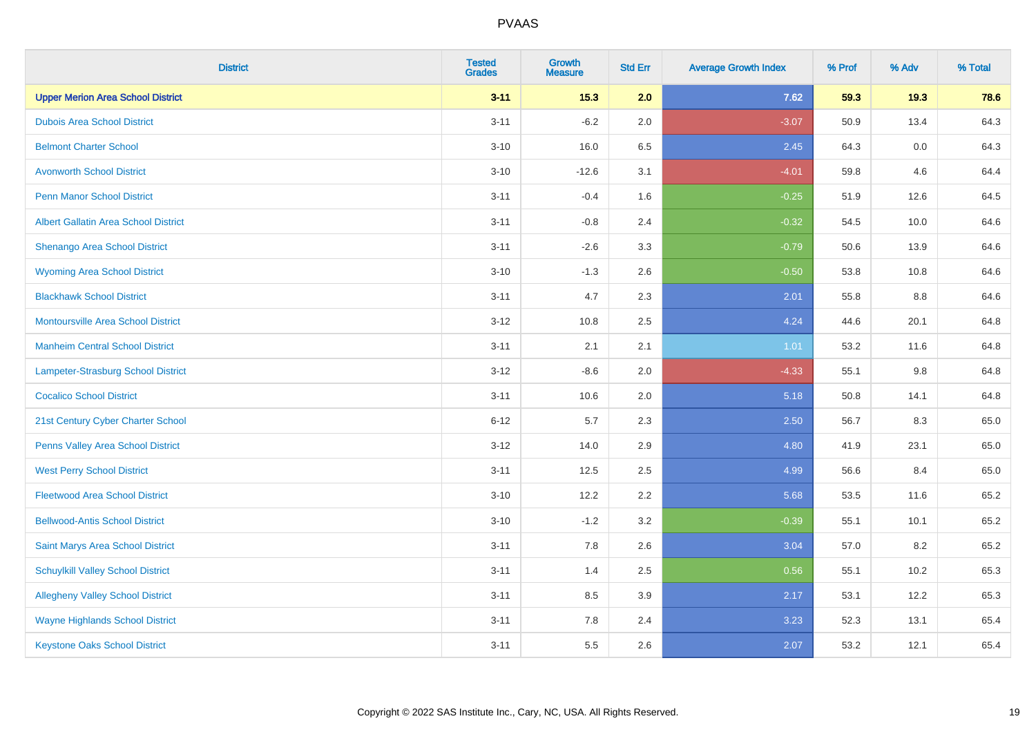| <b>District</b>                             | <b>Tested</b><br><b>Grades</b> | <b>Growth</b><br><b>Measure</b> | <b>Std Err</b> | <b>Average Growth Index</b> | % Prof | % Adv | % Total |
|---------------------------------------------|--------------------------------|---------------------------------|----------------|-----------------------------|--------|-------|---------|
| <b>Upper Merion Area School District</b>    | $3 - 11$                       | 15.3                            | 2.0            | 7.62                        | 59.3   | 19.3  | 78.6    |
| <b>Dubois Area School District</b>          | $3 - 11$                       | $-6.2$                          | 2.0            | $-3.07$                     | 50.9   | 13.4  | 64.3    |
| <b>Belmont Charter School</b>               | $3 - 10$                       | 16.0                            | 6.5            | 2.45                        | 64.3   | 0.0   | 64.3    |
| <b>Avonworth School District</b>            | $3 - 10$                       | $-12.6$                         | 3.1            | $-4.01$                     | 59.8   | 4.6   | 64.4    |
| <b>Penn Manor School District</b>           | $3 - 11$                       | $-0.4$                          | 1.6            | $-0.25$                     | 51.9   | 12.6  | 64.5    |
| <b>Albert Gallatin Area School District</b> | $3 - 11$                       | $-0.8$                          | 2.4            | $-0.32$                     | 54.5   | 10.0  | 64.6    |
| Shenango Area School District               | $3 - 11$                       | $-2.6$                          | 3.3            | $-0.79$                     | 50.6   | 13.9  | 64.6    |
| <b>Wyoming Area School District</b>         | $3 - 10$                       | $-1.3$                          | 2.6            | $-0.50$                     | 53.8   | 10.8  | 64.6    |
| <b>Blackhawk School District</b>            | $3 - 11$                       | 4.7                             | 2.3            | 2.01                        | 55.8   | 8.8   | 64.6    |
| <b>Montoursville Area School District</b>   | $3 - 12$                       | 10.8                            | 2.5            | 4.24                        | 44.6   | 20.1  | 64.8    |
| <b>Manheim Central School District</b>      | $3 - 11$                       | 2.1                             | 2.1            | 1.01                        | 53.2   | 11.6  | 64.8    |
| Lampeter-Strasburg School District          | $3 - 12$                       | $-8.6$                          | 2.0            | $-4.33$                     | 55.1   | 9.8   | 64.8    |
| <b>Cocalico School District</b>             | $3 - 11$                       | 10.6                            | 2.0            | 5.18                        | 50.8   | 14.1  | 64.8    |
| 21st Century Cyber Charter School           | $6 - 12$                       | 5.7                             | 2.3            | 2.50                        | 56.7   | 8.3   | 65.0    |
| Penns Valley Area School District           | $3 - 12$                       | 14.0                            | 2.9            | 4.80                        | 41.9   | 23.1  | 65.0    |
| <b>West Perry School District</b>           | $3 - 11$                       | 12.5                            | 2.5            | 4.99                        | 56.6   | 8.4   | 65.0    |
| <b>Fleetwood Area School District</b>       | $3 - 10$                       | 12.2                            | 2.2            | 5.68                        | 53.5   | 11.6  | 65.2    |
| <b>Bellwood-Antis School District</b>       | $3 - 10$                       | $-1.2$                          | 3.2            | $-0.39$                     | 55.1   | 10.1  | 65.2    |
| Saint Marys Area School District            | $3 - 11$                       | 7.8                             | 2.6            | 3.04                        | 57.0   | 8.2   | 65.2    |
| <b>Schuylkill Valley School District</b>    | $3 - 11$                       | 1.4                             | 2.5            | 0.56                        | 55.1   | 10.2  | 65.3    |
| <b>Allegheny Valley School District</b>     | $3 - 11$                       | 8.5                             | 3.9            | 2.17                        | 53.1   | 12.2  | 65.3    |
| <b>Wayne Highlands School District</b>      | $3 - 11$                       | 7.8                             | 2.4            | 3.23                        | 52.3   | 13.1  | 65.4    |
| <b>Keystone Oaks School District</b>        | $3 - 11$                       | 5.5                             | 2.6            | 2.07                        | 53.2   | 12.1  | 65.4    |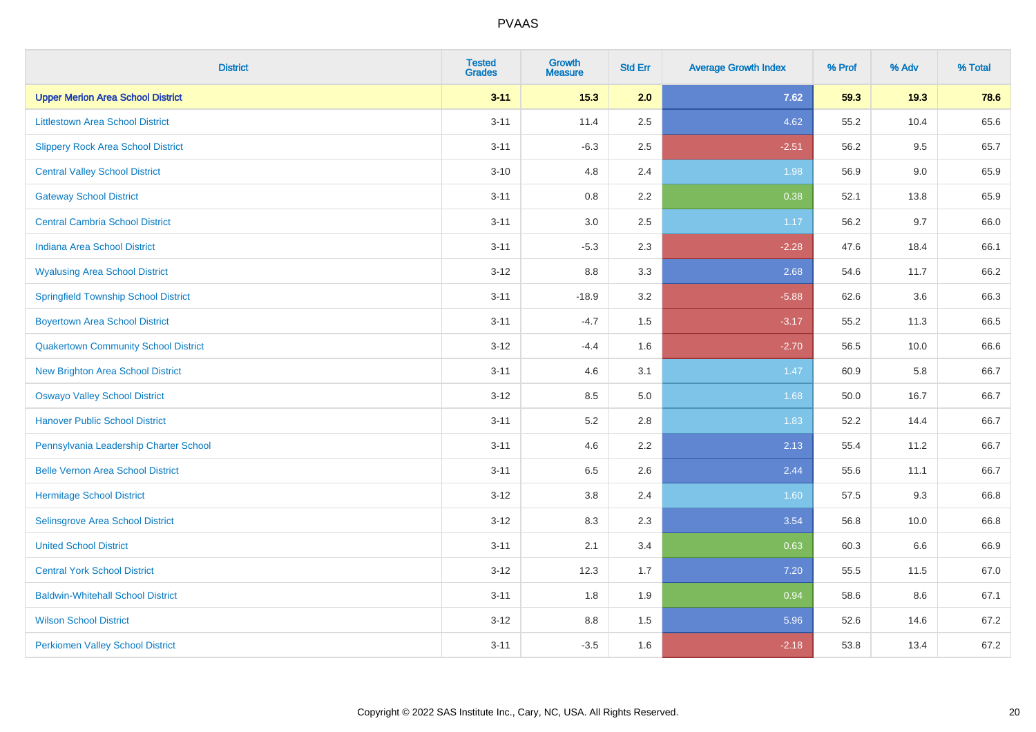| <b>District</b>                             | <b>Tested</b><br><b>Grades</b> | <b>Growth</b><br><b>Measure</b> | <b>Std Err</b> | <b>Average Growth Index</b> | % Prof | % Adv | % Total |
|---------------------------------------------|--------------------------------|---------------------------------|----------------|-----------------------------|--------|-------|---------|
| <b>Upper Merion Area School District</b>    | $3 - 11$                       | 15.3                            | 2.0            | 7.62                        | 59.3   | 19.3  | 78.6    |
| <b>Littlestown Area School District</b>     | $3 - 11$                       | 11.4                            | 2.5            | 4.62                        | 55.2   | 10.4  | 65.6    |
| <b>Slippery Rock Area School District</b>   | $3 - 11$                       | $-6.3$                          | 2.5            | $-2.51$                     | 56.2   | 9.5   | 65.7    |
| <b>Central Valley School District</b>       | $3 - 10$                       | 4.8                             | 2.4            | 1.98                        | 56.9   | 9.0   | 65.9    |
| <b>Gateway School District</b>              | $3 - 11$                       | 0.8                             | 2.2            | 0.38                        | 52.1   | 13.8  | 65.9    |
| <b>Central Cambria School District</b>      | $3 - 11$                       | $3.0\,$                         | 2.5            | 1.17                        | 56.2   | 9.7   | 66.0    |
| Indiana Area School District                | $3 - 11$                       | $-5.3$                          | 2.3            | $-2.28$                     | 47.6   | 18.4  | 66.1    |
| <b>Wyalusing Area School District</b>       | $3 - 12$                       | 8.8                             | 3.3            | 2.68                        | 54.6   | 11.7  | 66.2    |
| <b>Springfield Township School District</b> | $3 - 11$                       | $-18.9$                         | 3.2            | $-5.88$                     | 62.6   | 3.6   | 66.3    |
| <b>Boyertown Area School District</b>       | $3 - 11$                       | $-4.7$                          | 1.5            | $-3.17$                     | 55.2   | 11.3  | 66.5    |
| <b>Quakertown Community School District</b> | $3 - 12$                       | $-4.4$                          | 1.6            | $-2.70$                     | 56.5   | 10.0  | 66.6    |
| <b>New Brighton Area School District</b>    | $3 - 11$                       | 4.6                             | 3.1            | 1.47                        | 60.9   | 5.8   | 66.7    |
| <b>Oswayo Valley School District</b>        | $3 - 12$                       | 8.5                             | 5.0            | 1.68                        | 50.0   | 16.7  | 66.7    |
| <b>Hanover Public School District</b>       | $3 - 11$                       | 5.2                             | 2.8            | 1.83                        | 52.2   | 14.4  | 66.7    |
| Pennsylvania Leadership Charter School      | $3 - 11$                       | 4.6                             | 2.2            | 2.13                        | 55.4   | 11.2  | 66.7    |
| <b>Belle Vernon Area School District</b>    | $3 - 11$                       | 6.5                             | 2.6            | 2.44                        | 55.6   | 11.1  | 66.7    |
| <b>Hermitage School District</b>            | $3 - 12$                       | 3.8                             | 2.4            | 1.60                        | 57.5   | 9.3   | 66.8    |
| Selinsgrove Area School District            | $3 - 12$                       | 8.3                             | 2.3            | 3.54                        | 56.8   | 10.0  | 66.8    |
| <b>United School District</b>               | $3 - 11$                       | 2.1                             | 3.4            | 0.63                        | 60.3   | 6.6   | 66.9    |
| <b>Central York School District</b>         | $3 - 12$                       | 12.3                            | 1.7            | 7.20                        | 55.5   | 11.5  | 67.0    |
| <b>Baldwin-Whitehall School District</b>    | $3 - 11$                       | 1.8                             | 1.9            | 0.94                        | 58.6   | 8.6   | 67.1    |
| <b>Wilson School District</b>               | $3 - 12$                       | 8.8                             | 1.5            | 5.96                        | 52.6   | 14.6  | 67.2    |
| <b>Perkiomen Valley School District</b>     | $3 - 11$                       | $-3.5$                          | 1.6            | $-2.18$                     | 53.8   | 13.4  | 67.2    |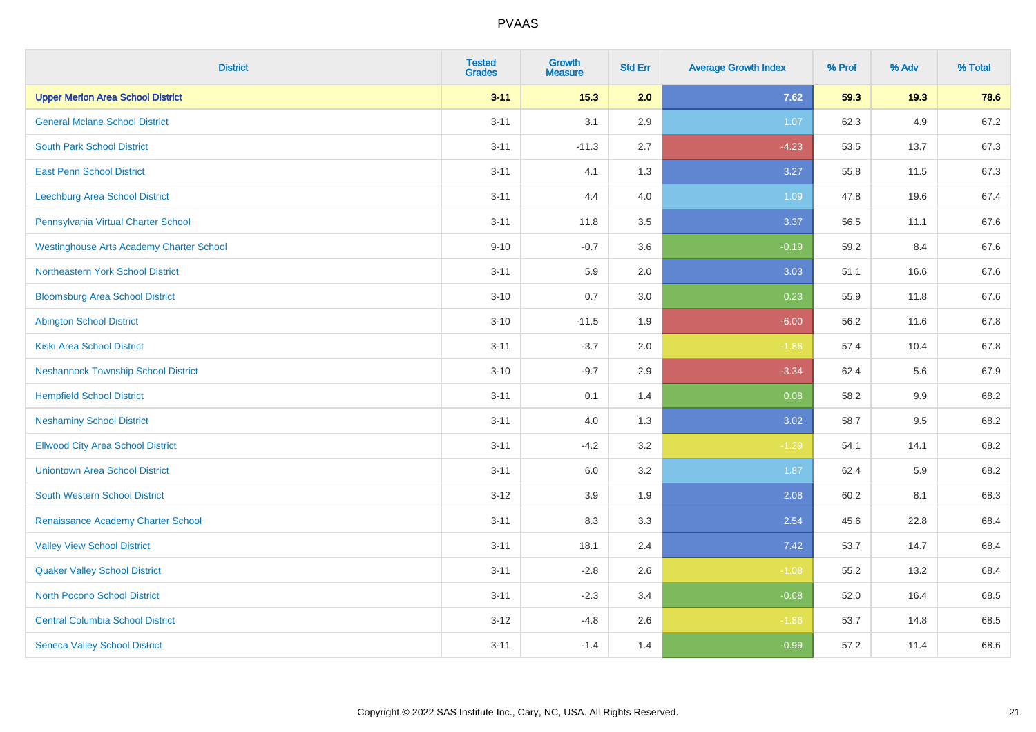| <b>District</b>                                 | <b>Tested</b><br><b>Grades</b> | <b>Growth</b><br><b>Measure</b> | <b>Std Err</b> | <b>Average Growth Index</b> | % Prof | % Adv | % Total |
|-------------------------------------------------|--------------------------------|---------------------------------|----------------|-----------------------------|--------|-------|---------|
| <b>Upper Merion Area School District</b>        | $3 - 11$                       | 15.3                            | 2.0            | 7.62                        | 59.3   | 19.3  | 78.6    |
| <b>General Mclane School District</b>           | $3 - 11$                       | 3.1                             | 2.9            | 1.07                        | 62.3   | 4.9   | 67.2    |
| <b>South Park School District</b>               | $3 - 11$                       | $-11.3$                         | 2.7            | $-4.23$                     | 53.5   | 13.7  | 67.3    |
| <b>East Penn School District</b>                | $3 - 11$                       | 4.1                             | 1.3            | 3.27                        | 55.8   | 11.5  | 67.3    |
| Leechburg Area School District                  | $3 - 11$                       | 4.4                             | 4.0            | 1.09                        | 47.8   | 19.6  | 67.4    |
| Pennsylvania Virtual Charter School             | $3 - 11$                       | 11.8                            | 3.5            | 3.37                        | 56.5   | 11.1  | 67.6    |
| <b>Westinghouse Arts Academy Charter School</b> | $9 - 10$                       | $-0.7$                          | 3.6            | $-0.19$                     | 59.2   | 8.4   | 67.6    |
| Northeastern York School District               | $3 - 11$                       | 5.9                             | 2.0            | 3.03                        | 51.1   | 16.6  | 67.6    |
| <b>Bloomsburg Area School District</b>          | $3 - 10$                       | 0.7                             | 3.0            | 0.23                        | 55.9   | 11.8  | 67.6    |
| <b>Abington School District</b>                 | $3 - 10$                       | $-11.5$                         | 1.9            | $-6.00$                     | 56.2   | 11.6  | 67.8    |
| <b>Kiski Area School District</b>               | $3 - 11$                       | $-3.7$                          | 2.0            | $-1.86$                     | 57.4   | 10.4  | 67.8    |
| <b>Neshannock Township School District</b>      | $3 - 10$                       | $-9.7$                          | 2.9            | $-3.34$                     | 62.4   | 5.6   | 67.9    |
| <b>Hempfield School District</b>                | $3 - 11$                       | 0.1                             | 1.4            | 0.08                        | 58.2   | 9.9   | 68.2    |
| <b>Neshaminy School District</b>                | $3 - 11$                       | 4.0                             | 1.3            | 3.02                        | 58.7   | 9.5   | 68.2    |
| <b>Ellwood City Area School District</b>        | $3 - 11$                       | $-4.2$                          | 3.2            | $-1.29$                     | 54.1   | 14.1  | 68.2    |
| <b>Uniontown Area School District</b>           | $3 - 11$                       | 6.0                             | 3.2            | 1.87                        | 62.4   | 5.9   | 68.2    |
| <b>South Western School District</b>            | $3 - 12$                       | 3.9                             | 1.9            | 2.08                        | 60.2   | 8.1   | 68.3    |
| Renaissance Academy Charter School              | $3 - 11$                       | 8.3                             | 3.3            | 2.54                        | 45.6   | 22.8  | 68.4    |
| <b>Valley View School District</b>              | $3 - 11$                       | 18.1                            | 2.4            | 7.42                        | 53.7   | 14.7  | 68.4    |
| <b>Quaker Valley School District</b>            | $3 - 11$                       | $-2.8$                          | 2.6            | $-1.08$                     | 55.2   | 13.2  | 68.4    |
| <b>North Pocono School District</b>             | $3 - 11$                       | $-2.3$                          | 3.4            | $-0.68$                     | 52.0   | 16.4  | 68.5    |
| <b>Central Columbia School District</b>         | $3 - 12$                       | $-4.8$                          | 2.6            | $-1.86$                     | 53.7   | 14.8  | 68.5    |
| <b>Seneca Valley School District</b>            | $3 - 11$                       | $-1.4$                          | 1.4            | $-0.99$                     | 57.2   | 11.4  | 68.6    |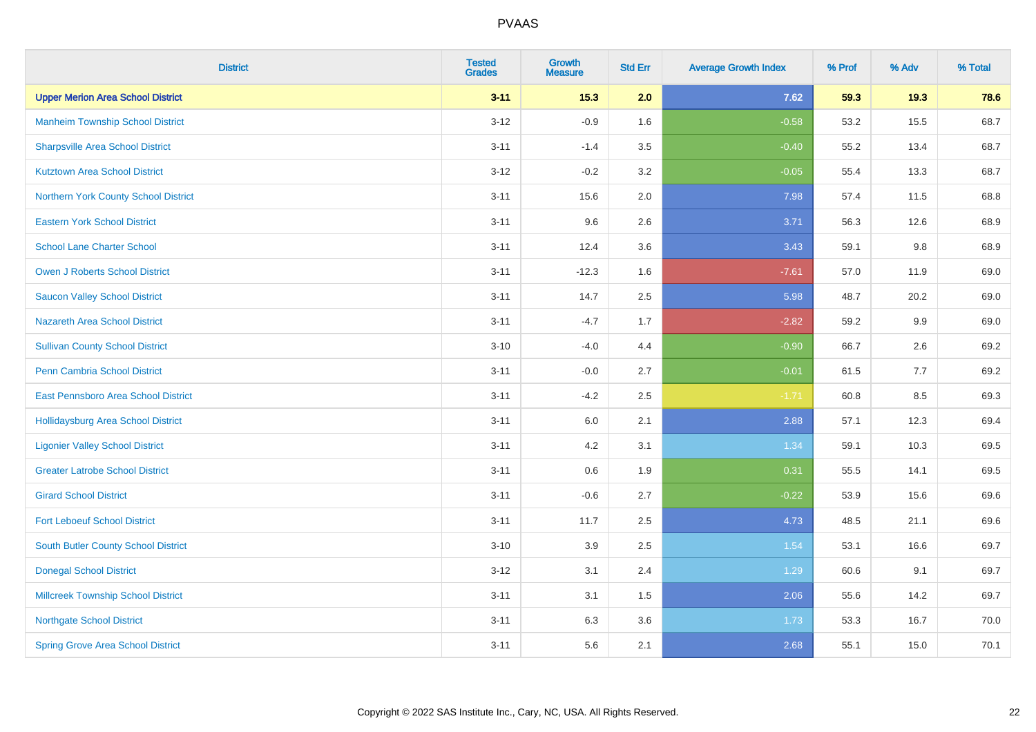| <b>District</b>                            | <b>Tested</b><br><b>Grades</b> | <b>Growth</b><br><b>Measure</b> | <b>Std Err</b> | <b>Average Growth Index</b> | % Prof | % Adv | % Total |
|--------------------------------------------|--------------------------------|---------------------------------|----------------|-----------------------------|--------|-------|---------|
| <b>Upper Merion Area School District</b>   | $3 - 11$                       | 15.3                            | 2.0            | 7.62                        | 59.3   | 19.3  | 78.6    |
| <b>Manheim Township School District</b>    | $3 - 12$                       | $-0.9$                          | 1.6            | $-0.58$                     | 53.2   | 15.5  | 68.7    |
| <b>Sharpsville Area School District</b>    | $3 - 11$                       | $-1.4$                          | 3.5            | $-0.40$                     | 55.2   | 13.4  | 68.7    |
| <b>Kutztown Area School District</b>       | $3 - 12$                       | $-0.2$                          | 3.2            | $-0.05$                     | 55.4   | 13.3  | 68.7    |
| Northern York County School District       | $3 - 11$                       | 15.6                            | 2.0            | 7.98                        | 57.4   | 11.5  | 68.8    |
| <b>Eastern York School District</b>        | $3 - 11$                       | 9.6                             | 2.6            | 3.71                        | 56.3   | 12.6  | 68.9    |
| <b>School Lane Charter School</b>          | $3 - 11$                       | 12.4                            | 3.6            | 3.43                        | 59.1   | 9.8   | 68.9    |
| <b>Owen J Roberts School District</b>      | $3 - 11$                       | $-12.3$                         | 1.6            | $-7.61$                     | 57.0   | 11.9  | 69.0    |
| <b>Saucon Valley School District</b>       | $3 - 11$                       | 14.7                            | 2.5            | 5.98                        | 48.7   | 20.2  | 69.0    |
| <b>Nazareth Area School District</b>       | $3 - 11$                       | $-4.7$                          | 1.7            | $-2.82$                     | 59.2   | 9.9   | 69.0    |
| <b>Sullivan County School District</b>     | $3 - 10$                       | $-4.0$                          | 4.4            | $-0.90$                     | 66.7   | 2.6   | 69.2    |
| Penn Cambria School District               | $3 - 11$                       | $-0.0$                          | 2.7            | $-0.01$                     | 61.5   | 7.7   | 69.2    |
| East Pennsboro Area School District        | $3 - 11$                       | $-4.2$                          | 2.5            | $-1.71$                     | 60.8   | 8.5   | 69.3    |
| <b>Hollidaysburg Area School District</b>  | $3 - 11$                       | 6.0                             | 2.1            | 2.88                        | 57.1   | 12.3  | 69.4    |
| <b>Ligonier Valley School District</b>     | $3 - 11$                       | 4.2                             | 3.1            | 1.34                        | 59.1   | 10.3  | 69.5    |
| <b>Greater Latrobe School District</b>     | $3 - 11$                       | 0.6                             | 1.9            | 0.31                        | 55.5   | 14.1  | 69.5    |
| <b>Girard School District</b>              | $3 - 11$                       | $-0.6$                          | 2.7            | $-0.22$                     | 53.9   | 15.6  | 69.6    |
| <b>Fort Leboeuf School District</b>        | $3 - 11$                       | 11.7                            | 2.5            | 4.73                        | 48.5   | 21.1  | 69.6    |
| <b>South Butler County School District</b> | $3 - 10$                       | 3.9                             | 2.5            | 1.54                        | 53.1   | 16.6  | 69.7    |
| <b>Donegal School District</b>             | $3 - 12$                       | 3.1                             | 2.4            | 1.29                        | 60.6   | 9.1   | 69.7    |
| <b>Millcreek Township School District</b>  | $3 - 11$                       | 3.1                             | 1.5            | 2.06                        | 55.6   | 14.2  | 69.7    |
| <b>Northgate School District</b>           | $3 - 11$                       | 6.3                             | 3.6            | 1.73                        | 53.3   | 16.7  | 70.0    |
| <b>Spring Grove Area School District</b>   | $3 - 11$                       | 5.6                             | 2.1            | 2.68                        | 55.1   | 15.0  | 70.1    |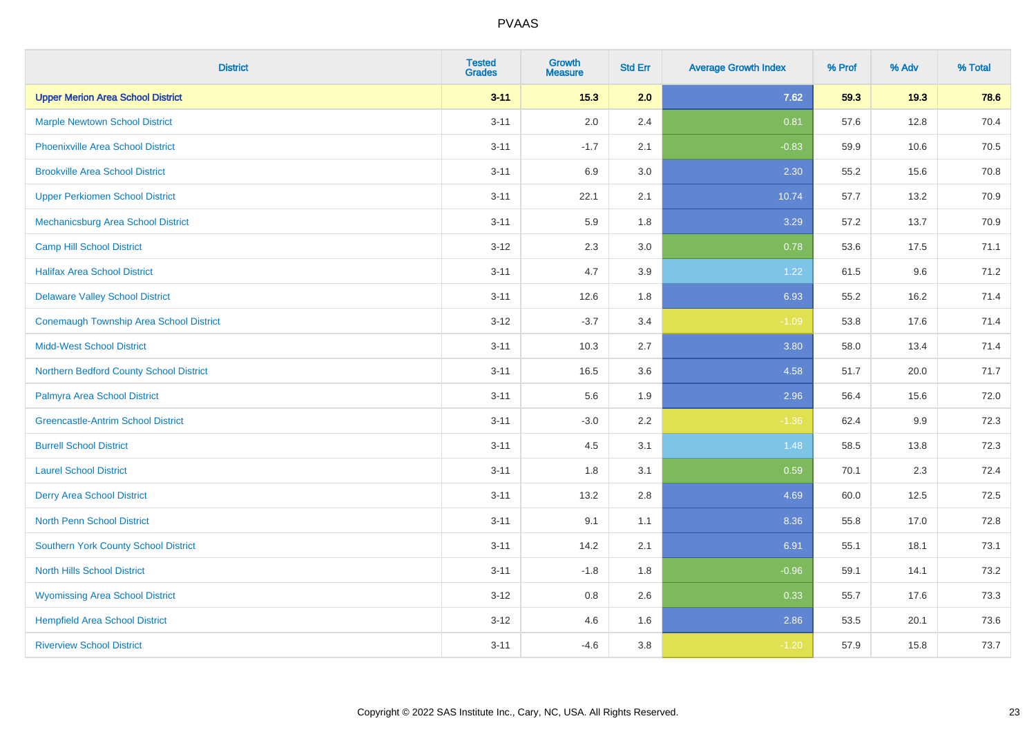| <b>District</b>                                | <b>Tested</b><br><b>Grades</b> | <b>Growth</b><br><b>Measure</b> | <b>Std Err</b> | <b>Average Growth Index</b> | % Prof | % Adv | % Total |
|------------------------------------------------|--------------------------------|---------------------------------|----------------|-----------------------------|--------|-------|---------|
| <b>Upper Merion Area School District</b>       | $3 - 11$                       | 15.3                            | 2.0            | 7.62                        | 59.3   | 19.3  | 78.6    |
| <b>Marple Newtown School District</b>          | $3 - 11$                       | 2.0                             | 2.4            | 0.81                        | 57.6   | 12.8  | 70.4    |
| <b>Phoenixville Area School District</b>       | $3 - 11$                       | $-1.7$                          | 2.1            | $-0.83$                     | 59.9   | 10.6  | 70.5    |
| <b>Brookville Area School District</b>         | $3 - 11$                       | 6.9                             | 3.0            | 2.30                        | 55.2   | 15.6  | 70.8    |
| <b>Upper Perkiomen School District</b>         | $3 - 11$                       | 22.1                            | 2.1            | 10.74                       | 57.7   | 13.2  | 70.9    |
| Mechanicsburg Area School District             | $3 - 11$                       | 5.9                             | 1.8            | 3.29                        | 57.2   | 13.7  | 70.9    |
| <b>Camp Hill School District</b>               | $3 - 12$                       | 2.3                             | 3.0            | 0.78                        | 53.6   | 17.5  | 71.1    |
| <b>Halifax Area School District</b>            | $3 - 11$                       | 4.7                             | 3.9            | 1.22                        | 61.5   | 9.6   | 71.2    |
| <b>Delaware Valley School District</b>         | $3 - 11$                       | 12.6                            | 1.8            | 6.93                        | 55.2   | 16.2  | 71.4    |
| <b>Conemaugh Township Area School District</b> | $3 - 12$                       | $-3.7$                          | 3.4            | $-1.09$                     | 53.8   | 17.6  | 71.4    |
| <b>Midd-West School District</b>               | $3 - 11$                       | 10.3                            | 2.7            | 3.80                        | 58.0   | 13.4  | 71.4    |
| Northern Bedford County School District        | $3 - 11$                       | 16.5                            | 3.6            | 4.58                        | 51.7   | 20.0  | 71.7    |
| Palmyra Area School District                   | $3 - 11$                       | 5.6                             | 1.9            | 2.96                        | 56.4   | 15.6  | 72.0    |
| <b>Greencastle-Antrim School District</b>      | $3 - 11$                       | $-3.0$                          | 2.2            | $-1.36$                     | 62.4   | 9.9   | 72.3    |
| <b>Burrell School District</b>                 | $3 - 11$                       | 4.5                             | 3.1            | 1.48                        | 58.5   | 13.8  | 72.3    |
| <b>Laurel School District</b>                  | $3 - 11$                       | 1.8                             | 3.1            | 0.59                        | 70.1   | 2.3   | 72.4    |
| <b>Derry Area School District</b>              | $3 - 11$                       | 13.2                            | 2.8            | 4.69                        | 60.0   | 12.5  | 72.5    |
| <b>North Penn School District</b>              | $3 - 11$                       | 9.1                             | 1.1            | 8.36                        | 55.8   | 17.0  | 72.8    |
| <b>Southern York County School District</b>    | $3 - 11$                       | 14.2                            | 2.1            | 6.91                        | 55.1   | 18.1  | 73.1    |
| <b>North Hills School District</b>             | $3 - 11$                       | $-1.8$                          | 1.8            | $-0.96$                     | 59.1   | 14.1  | 73.2    |
| <b>Wyomissing Area School District</b>         | $3 - 12$                       | 0.8                             | 2.6            | 0.33                        | 55.7   | 17.6  | 73.3    |
| <b>Hempfield Area School District</b>          | $3 - 12$                       | 4.6                             | 1.6            | 2.86                        | 53.5   | 20.1  | 73.6    |
| <b>Riverview School District</b>               | $3 - 11$                       | $-4.6$                          | 3.8            | $-1.20$                     | 57.9   | 15.8  | 73.7    |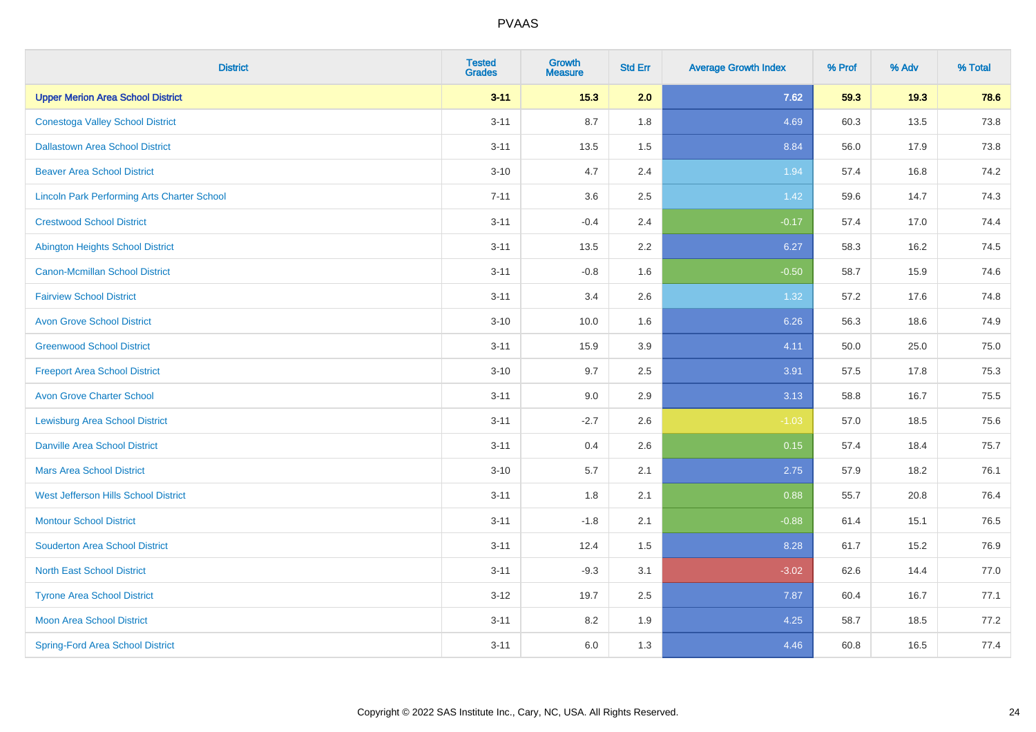| <b>District</b>                                    | <b>Tested</b><br><b>Grades</b> | <b>Growth</b><br><b>Measure</b> | <b>Std Err</b> | <b>Average Growth Index</b> | % Prof | % Adv | % Total |
|----------------------------------------------------|--------------------------------|---------------------------------|----------------|-----------------------------|--------|-------|---------|
| <b>Upper Merion Area School District</b>           | $3 - 11$                       | 15.3                            | 2.0            | 7.62                        | 59.3   | 19.3  | 78.6    |
| <b>Conestoga Valley School District</b>            | $3 - 11$                       | 8.7                             | 1.8            | 4.69                        | 60.3   | 13.5  | 73.8    |
| <b>Dallastown Area School District</b>             | $3 - 11$                       | 13.5                            | 1.5            | 8.84                        | 56.0   | 17.9  | 73.8    |
| <b>Beaver Area School District</b>                 | $3 - 10$                       | 4.7                             | 2.4            | 1.94                        | 57.4   | 16.8  | 74.2    |
| <b>Lincoln Park Performing Arts Charter School</b> | $7 - 11$                       | 3.6                             | 2.5            | 1.42                        | 59.6   | 14.7  | 74.3    |
| <b>Crestwood School District</b>                   | $3 - 11$                       | $-0.4$                          | 2.4            | $-0.17$                     | 57.4   | 17.0  | 74.4    |
| <b>Abington Heights School District</b>            | $3 - 11$                       | 13.5                            | 2.2            | 6.27                        | 58.3   | 16.2  | 74.5    |
| <b>Canon-Mcmillan School District</b>              | $3 - 11$                       | $-0.8$                          | 1.6            | $-0.50$                     | 58.7   | 15.9  | 74.6    |
| <b>Fairview School District</b>                    | $3 - 11$                       | 3.4                             | 2.6            | 1.32                        | 57.2   | 17.6  | 74.8    |
| <b>Avon Grove School District</b>                  | $3 - 10$                       | 10.0                            | 1.6            | 6.26                        | 56.3   | 18.6  | 74.9    |
| <b>Greenwood School District</b>                   | $3 - 11$                       | 15.9                            | 3.9            | 4.11                        | 50.0   | 25.0  | 75.0    |
| <b>Freeport Area School District</b>               | $3 - 10$                       | 9.7                             | 2.5            | 3.91                        | 57.5   | 17.8  | 75.3    |
| <b>Avon Grove Charter School</b>                   | $3 - 11$                       | 9.0                             | 2.9            | 3.13                        | 58.8   | 16.7  | 75.5    |
| <b>Lewisburg Area School District</b>              | $3 - 11$                       | $-2.7$                          | 2.6            | $-1.03$                     | 57.0   | 18.5  | 75.6    |
| <b>Danville Area School District</b>               | $3 - 11$                       | 0.4                             | 2.6            | 0.15                        | 57.4   | 18.4  | 75.7    |
| <b>Mars Area School District</b>                   | $3 - 10$                       | 5.7                             | 2.1            | 2.75                        | 57.9   | 18.2  | 76.1    |
| West Jefferson Hills School District               | $3 - 11$                       | 1.8                             | 2.1            | 0.88                        | 55.7   | 20.8  | 76.4    |
| <b>Montour School District</b>                     | $3 - 11$                       | $-1.8$                          | 2.1            | $-0.88$                     | 61.4   | 15.1  | 76.5    |
| <b>Souderton Area School District</b>              | $3 - 11$                       | 12.4                            | 1.5            | 8.28                        | 61.7   | 15.2  | 76.9    |
| <b>North East School District</b>                  | $3 - 11$                       | $-9.3$                          | 3.1            | $-3.02$                     | 62.6   | 14.4  | 77.0    |
| <b>Tyrone Area School District</b>                 | $3 - 12$                       | 19.7                            | 2.5            | 7.87                        | 60.4   | 16.7  | 77.1    |
| <b>Moon Area School District</b>                   | $3 - 11$                       | 8.2                             | 1.9            | 4.25                        | 58.7   | 18.5  | 77.2    |
| <b>Spring-Ford Area School District</b>            | $3 - 11$                       | 6.0                             | 1.3            | 4.46                        | 60.8   | 16.5  | 77.4    |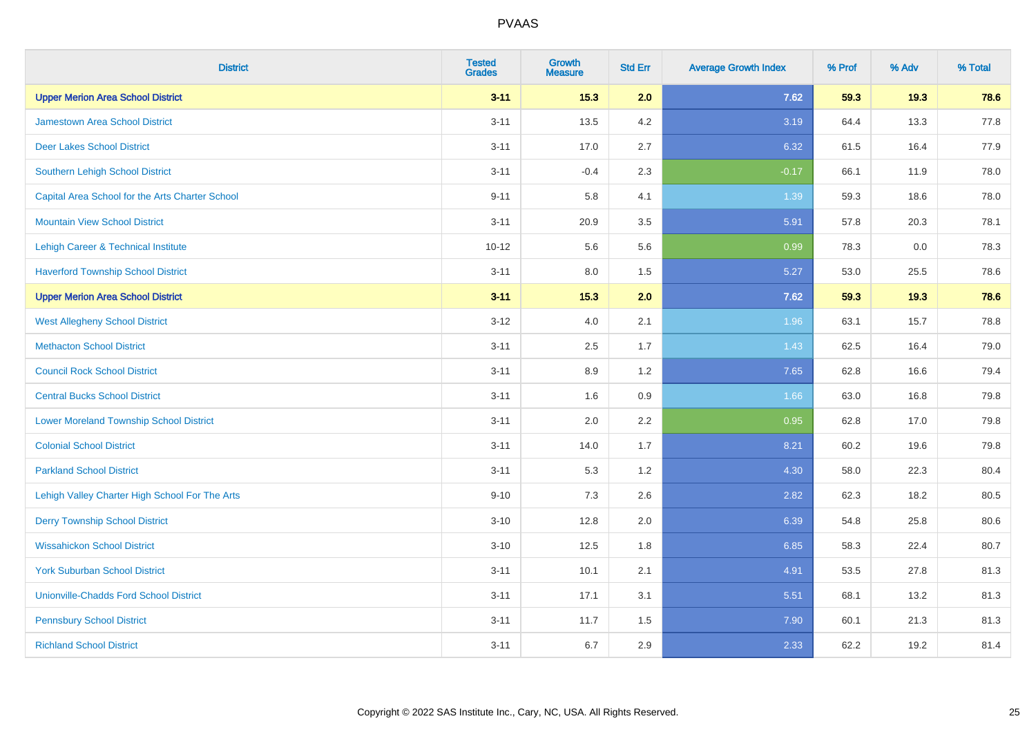| <b>District</b>                                 | <b>Tested</b><br><b>Grades</b> | <b>Growth</b><br><b>Measure</b> | <b>Std Err</b> | <b>Average Growth Index</b> | % Prof | % Adv | % Total |
|-------------------------------------------------|--------------------------------|---------------------------------|----------------|-----------------------------|--------|-------|---------|
| <b>Upper Merion Area School District</b>        | $3 - 11$                       | $15.3$                          | 2.0            | 7.62                        | 59.3   | 19.3  | 78.6    |
| <b>Jamestown Area School District</b>           | $3 - 11$                       | 13.5                            | 4.2            | 3.19                        | 64.4   | 13.3  | 77.8    |
| <b>Deer Lakes School District</b>               | $3 - 11$                       | 17.0                            | 2.7            | 6.32                        | 61.5   | 16.4  | 77.9    |
| Southern Lehigh School District                 | $3 - 11$                       | $-0.4$                          | 2.3            | $-0.17$                     | 66.1   | 11.9  | 78.0    |
| Capital Area School for the Arts Charter School | $9 - 11$                       | 5.8                             | 4.1            | 1.39                        | 59.3   | 18.6  | 78.0    |
| <b>Mountain View School District</b>            | $3 - 11$                       | 20.9                            | 3.5            | 5.91                        | 57.8   | 20.3  | 78.1    |
| Lehigh Career & Technical Institute             | $10 - 12$                      | 5.6                             | 5.6            | 0.99                        | 78.3   | 0.0   | 78.3    |
| <b>Haverford Township School District</b>       | $3 - 11$                       | $8.0\,$                         | 1.5            | 5.27                        | 53.0   | 25.5  | 78.6    |
| <b>Upper Merion Area School District</b>        | $3 - 11$                       | 15.3                            | 2.0            | 7.62                        | 59.3   | 19.3  | 78.6    |
| <b>West Allegheny School District</b>           | $3 - 12$                       | 4.0                             | 2.1            | 1.96                        | 63.1   | 15.7  | 78.8    |
| <b>Methacton School District</b>                | $3 - 11$                       | 2.5                             | 1.7            | 1.43                        | 62.5   | 16.4  | 79.0    |
| <b>Council Rock School District</b>             | $3 - 11$                       | 8.9                             | 1.2            | 7.65                        | 62.8   | 16.6  | 79.4    |
| <b>Central Bucks School District</b>            | $3 - 11$                       | 1.6                             | $0.9\,$        | 1.66                        | 63.0   | 16.8  | 79.8    |
| <b>Lower Moreland Township School District</b>  | $3 - 11$                       | 2.0                             | 2.2            | 0.95                        | 62.8   | 17.0  | 79.8    |
| <b>Colonial School District</b>                 | $3 - 11$                       | 14.0                            | 1.7            | 8.21                        | 60.2   | 19.6  | 79.8    |
| <b>Parkland School District</b>                 | $3 - 11$                       | 5.3                             | 1.2            | 4.30                        | 58.0   | 22.3  | 80.4    |
| Lehigh Valley Charter High School For The Arts  | $9 - 10$                       | 7.3                             | 2.6            | 2.82                        | 62.3   | 18.2  | 80.5    |
| <b>Derry Township School District</b>           | $3 - 10$                       | 12.8                            | 2.0            | 6.39                        | 54.8   | 25.8  | 80.6    |
| <b>Wissahickon School District</b>              | $3 - 10$                       | 12.5                            | 1.8            | 6.85                        | 58.3   | 22.4  | 80.7    |
| <b>York Suburban School District</b>            | $3 - 11$                       | 10.1                            | 2.1            | 4.91                        | 53.5   | 27.8  | 81.3    |
| <b>Unionville-Chadds Ford School District</b>   | $3 - 11$                       | 17.1                            | 3.1            | 5.51                        | 68.1   | 13.2  | 81.3    |
| <b>Pennsbury School District</b>                | $3 - 11$                       | 11.7                            | 1.5            | 7.90                        | 60.1   | 21.3  | 81.3    |
| <b>Richland School District</b>                 | $3 - 11$                       | 6.7                             | 2.9            | 2.33                        | 62.2   | 19.2  | 81.4    |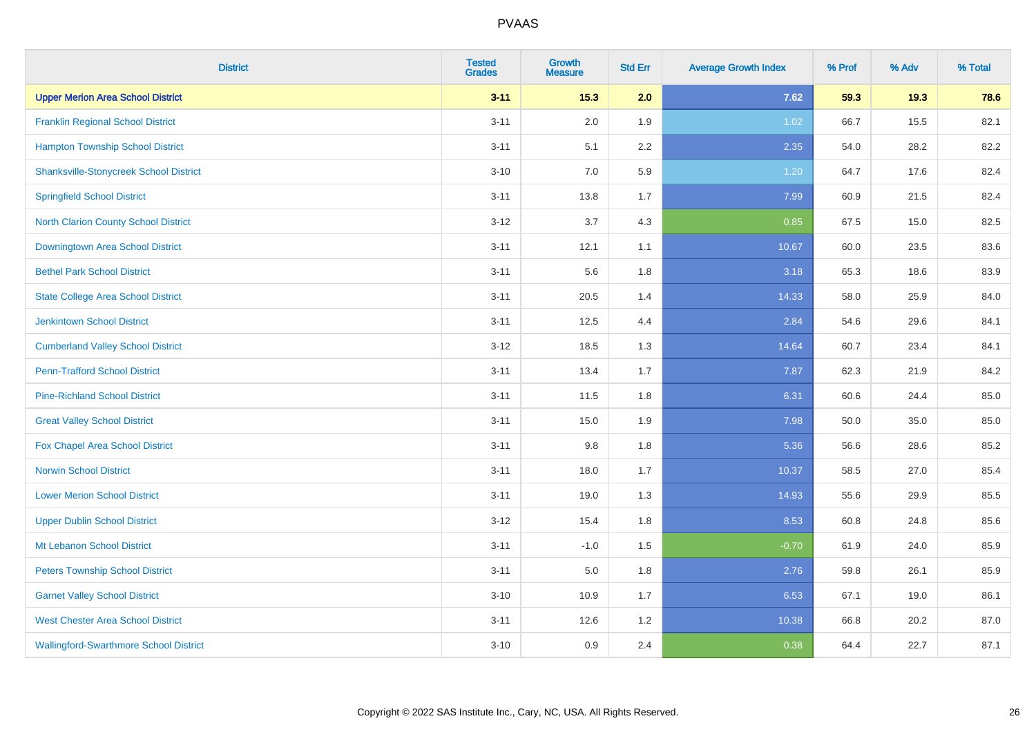| <b>District</b>                               | <b>Tested</b><br><b>Grades</b> | <b>Growth</b><br><b>Measure</b> | <b>Std Err</b> | <b>Average Growth Index</b> | % Prof | % Adv | % Total |
|-----------------------------------------------|--------------------------------|---------------------------------|----------------|-----------------------------|--------|-------|---------|
| <b>Upper Merion Area School District</b>      | $3 - 11$                       | 15.3                            | 2.0            | 7.62                        | 59.3   | 19.3  | 78.6    |
| <b>Franklin Regional School District</b>      | $3 - 11$                       | 2.0                             | 1.9            | 1.02                        | 66.7   | 15.5  | 82.1    |
| <b>Hampton Township School District</b>       | $3 - 11$                       | 5.1                             | 2.2            | 2.35                        | 54.0   | 28.2  | 82.2    |
| <b>Shanksville-Stonycreek School District</b> | $3 - 10$                       | 7.0                             | 5.9            | 1.20                        | 64.7   | 17.6  | 82.4    |
| <b>Springfield School District</b>            | $3 - 11$                       | 13.8                            | 1.7            | 7.99                        | 60.9   | 21.5  | 82.4    |
| <b>North Clarion County School District</b>   | $3 - 12$                       | 3.7                             | 4.3            | 0.85                        | 67.5   | 15.0  | 82.5    |
| Downingtown Area School District              | $3 - 11$                       | 12.1                            | 1.1            | 10.67                       | 60.0   | 23.5  | 83.6    |
| <b>Bethel Park School District</b>            | $3 - 11$                       | 5.6                             | 1.8            | 3.18                        | 65.3   | 18.6  | 83.9    |
| <b>State College Area School District</b>     | $3 - 11$                       | 20.5                            | 1.4            | 14.33                       | 58.0   | 25.9  | 84.0    |
| <b>Jenkintown School District</b>             | $3 - 11$                       | 12.5                            | 4.4            | 2.84                        | 54.6   | 29.6  | 84.1    |
| <b>Cumberland Valley School District</b>      | $3-12$                         | 18.5                            | 1.3            | 14.64                       | 60.7   | 23.4  | 84.1    |
| <b>Penn-Trafford School District</b>          | $3 - 11$                       | 13.4                            | 1.7            | 7.87                        | 62.3   | 21.9  | 84.2    |
| <b>Pine-Richland School District</b>          | $3 - 11$                       | 11.5                            | 1.8            | 6.31                        | 60.6   | 24.4  | 85.0    |
| <b>Great Valley School District</b>           | $3 - 11$                       | 15.0                            | 1.9            | 7.98                        | 50.0   | 35.0  | 85.0    |
| Fox Chapel Area School District               | $3 - 11$                       | 9.8                             | 1.8            | 5.36                        | 56.6   | 28.6  | 85.2    |
| <b>Norwin School District</b>                 | $3 - 11$                       | 18.0                            | 1.7            | 10.37                       | 58.5   | 27.0  | 85.4    |
| <b>Lower Merion School District</b>           | $3 - 11$                       | 19.0                            | 1.3            | 14.93                       | 55.6   | 29.9  | 85.5    |
| <b>Upper Dublin School District</b>           | $3 - 12$                       | 15.4                            | 1.8            | 8.53                        | 60.8   | 24.8  | 85.6    |
| Mt Lebanon School District                    | $3 - 11$                       | $-1.0$                          | 1.5            | $-0.70$                     | 61.9   | 24.0  | 85.9    |
| <b>Peters Township School District</b>        | $3 - 11$                       | 5.0                             | 1.8            | 2.76                        | 59.8   | 26.1  | 85.9    |
| <b>Garnet Valley School District</b>          | $3 - 10$                       | 10.9                            | 1.7            | 6.53                        | 67.1   | 19.0  | 86.1    |
| <b>West Chester Area School District</b>      | $3 - 11$                       | 12.6                            | 1.2            | 10.38                       | 66.8   | 20.2  | 87.0    |
| <b>Wallingford-Swarthmore School District</b> | $3 - 10$                       | 0.9                             | 2.4            | 0.38                        | 64.4   | 22.7  | 87.1    |